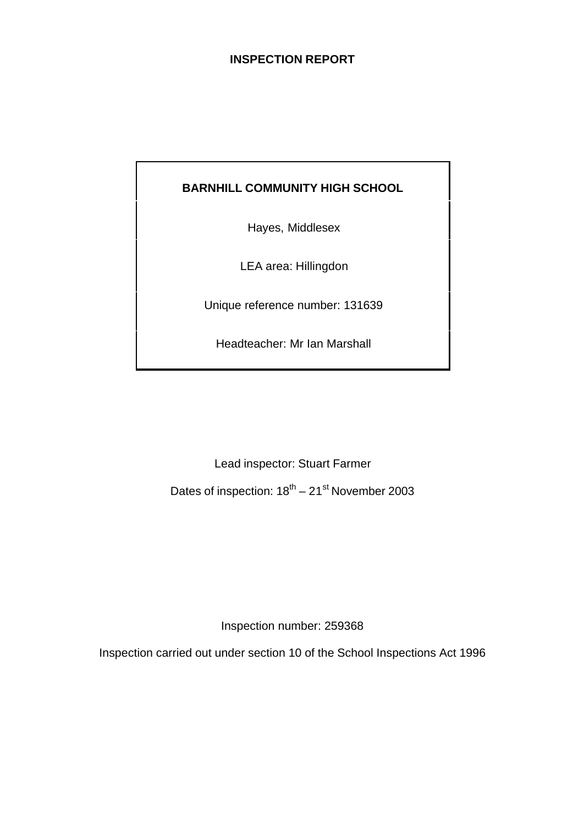# **INSPECTION REPORT**

# **BARNHILL COMMUNITY HIGH SCHOOL**

Hayes, Middlesex

LEA area: Hillingdon

Unique reference number: 131639

Headteacher: Mr Ian Marshall

Lead inspector: Stuart Farmer

Dates of inspection:  $18^{th} - 21^{st}$  November 2003

Inspection number: 259368

Inspection carried out under section 10 of the School Inspections Act 1996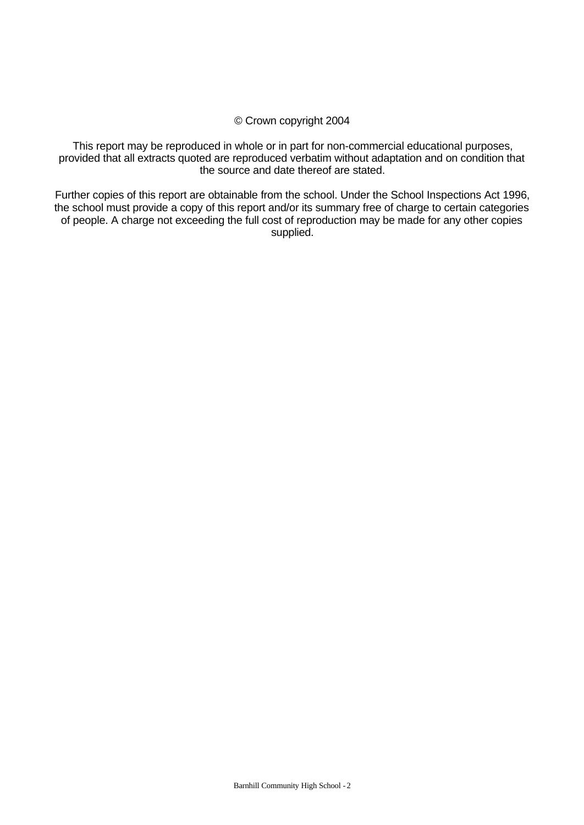#### © Crown copyright 2004

This report may be reproduced in whole or in part for non-commercial educational purposes, provided that all extracts quoted are reproduced verbatim without adaptation and on condition that the source and date thereof are stated.

Further copies of this report are obtainable from the school. Under the School Inspections Act 1996, the school must provide a copy of this report and/or its summary free of charge to certain categories of people. A charge not exceeding the full cost of reproduction may be made for any other copies supplied.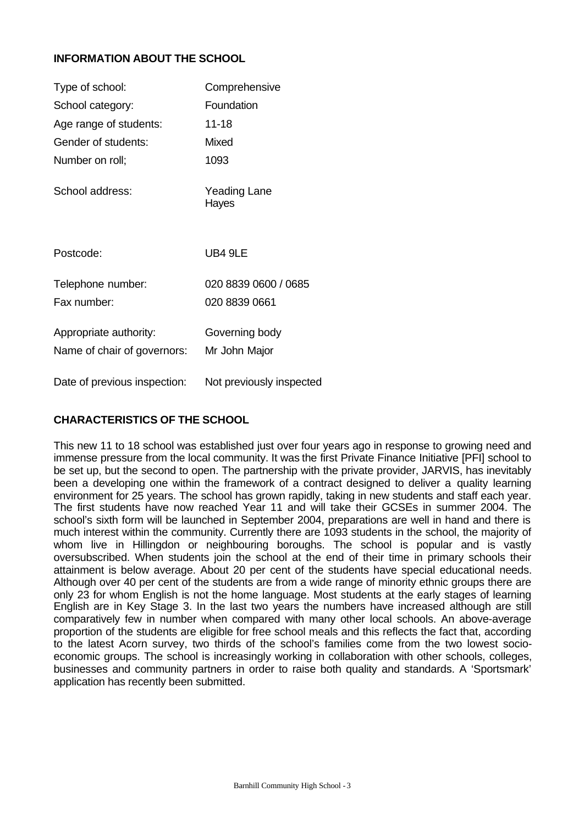# **INFORMATION ABOUT THE SCHOOL**

| Type of school:              | Comprehensive                |
|------------------------------|------------------------------|
| School category:             | Foundation                   |
| Age range of students:       | $11 - 18$                    |
| Gender of students:          | Mixed                        |
| Number on roll;              | 1093                         |
| School address:              | <b>Yeading Lane</b><br>Hayes |
| Postcode:                    | UB4 9LE                      |
| Telephone number:            | 020 8839 0600 / 0685         |
| Fax number:                  | 020 8839 0661                |
| Appropriate authority:       | Governing body               |
| Name of chair of governors:  | Mr John Major                |
| Date of previous inspection: | Not previously inspected     |

# **CHARACTERISTICS OF THE SCHOOL**

This new 11 to 18 school was established just over four years ago in response to growing need and immense pressure from the local community. It was the first Private Finance Initiative [PFI] school to be set up, but the second to open. The partnership with the private provider, JARVIS, has inevitably been a developing one within the framework of a contract designed to deliver a quality learning environment for 25 years. The school has grown rapidly, taking in new students and staff each year. The first students have now reached Year 11 and will take their GCSEs in summer 2004. The school's sixth form will be launched in September 2004, preparations are well in hand and there is much interest within the community. Currently there are 1093 students in the school, the majority of whom live in Hillingdon or neighbouring boroughs. The school is popular and is vastly oversubscribed. When students join the school at the end of their time in primary schools their attainment is below average. About 20 per cent of the students have special educational needs. Although over 40 per cent of the students are from a wide range of minority ethnic groups there are only 23 for whom English is not the home language. Most students at the early stages of learning English are in Key Stage 3. In the last two years the numbers have increased although are still comparatively few in number when compared with many other local schools. An above-average proportion of the students are eligible for free school meals and this reflects the fact that, according to the latest Acorn survey, two thirds of the school's families come from the two lowest socioeconomic groups. The school is increasingly working in collaboration with other schools, colleges, businesses and community partners in order to raise both quality and standards. A 'Sportsmark' application has recently been submitted.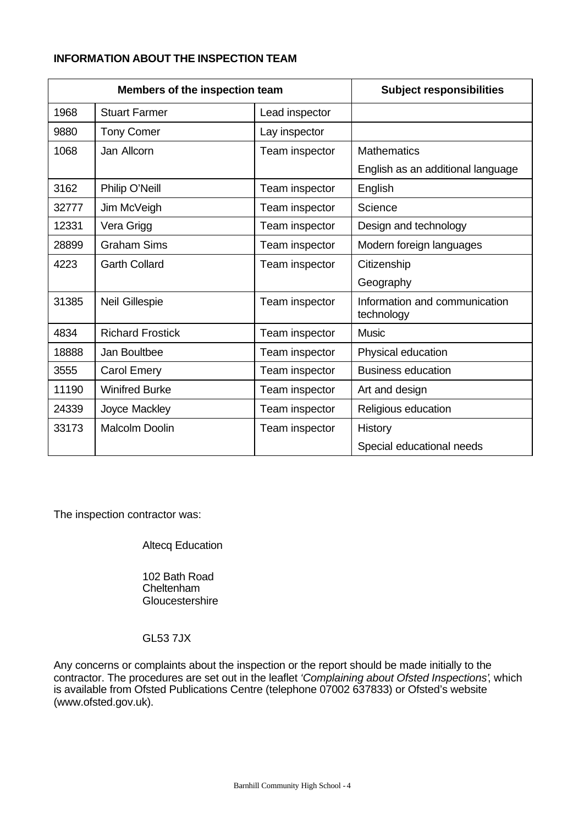# **INFORMATION ABOUT THE INSPECTION TEAM**

| Members of the inspection team |                         | <b>Subject responsibilities</b> |                                             |
|--------------------------------|-------------------------|---------------------------------|---------------------------------------------|
| 1968                           | <b>Stuart Farmer</b>    | Lead inspector                  |                                             |
| 9880                           | <b>Tony Comer</b>       | Lay inspector                   |                                             |
| 1068                           | Jan Allcorn             | Team inspector                  | <b>Mathematics</b>                          |
|                                |                         |                                 | English as an additional language           |
| 3162                           | Philip O'Neill          | Team inspector                  | English                                     |
| 32777                          | Jim McVeigh             | Team inspector                  | Science                                     |
| 12331                          | Vera Grigg              | Team inspector                  | Design and technology                       |
| 28899                          | <b>Graham Sims</b>      | Team inspector                  | Modern foreign languages                    |
| 4223                           | <b>Garth Collard</b>    | Team inspector                  | Citizenship                                 |
|                                |                         |                                 | Geography                                   |
| 31385                          | Neil Gillespie          | Team inspector                  | Information and communication<br>technology |
| 4834                           | <b>Richard Frostick</b> | Team inspector                  | <b>Music</b>                                |
| 18888                          | Jan Boultbee            | Team inspector                  | Physical education                          |
| 3555                           | <b>Carol Emery</b>      | Team inspector                  | <b>Business education</b>                   |
| 11190                          | <b>Winifred Burke</b>   | Team inspector                  | Art and design                              |
| 24339                          | Joyce Mackley           | Team inspector                  | Religious education                         |
| 33173                          | <b>Malcolm Doolin</b>   | Team inspector                  | History                                     |
|                                |                         |                                 | Special educational needs                   |

The inspection contractor was:

Altecq Education

102 Bath Road Cheltenham **Gloucestershire** 

# GL53 7JX

Any concerns or complaints about the inspection or the report should be made initially to the contractor. The procedures are set out in the leaflet *'Complaining about Ofsted Inspections'*, which is available from Ofsted Publications Centre (telephone 07002 637833) or Ofsted's website (www.ofsted.gov.uk).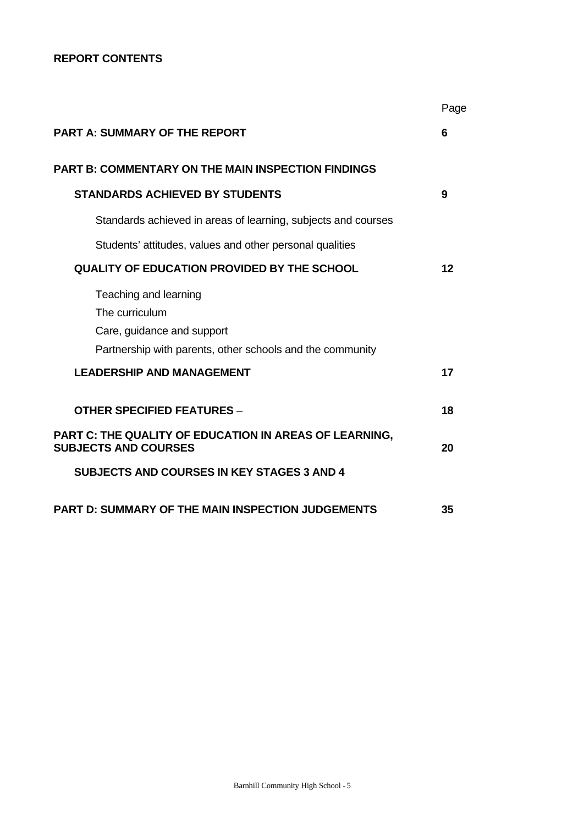# **REPORT CONTENTS**

|                                                                                                                                    | Page |
|------------------------------------------------------------------------------------------------------------------------------------|------|
| <b>PART A: SUMMARY OF THE REPORT</b>                                                                                               | 6    |
| <b>PART B: COMMENTARY ON THE MAIN INSPECTION FINDINGS</b>                                                                          |      |
| <b>STANDARDS ACHIEVED BY STUDENTS</b>                                                                                              | 9    |
| Standards achieved in areas of learning, subjects and courses                                                                      |      |
| Students' attitudes, values and other personal qualities                                                                           |      |
| <b>QUALITY OF EDUCATION PROVIDED BY THE SCHOOL</b>                                                                                 | 12   |
| Teaching and learning<br>The curriculum<br>Care, guidance and support<br>Partnership with parents, other schools and the community |      |
| <b>LEADERSHIP AND MANAGEMENT</b>                                                                                                   | 17   |
| <b>OTHER SPECIFIED FEATURES -</b>                                                                                                  | 18   |
| PART C: THE QUALITY OF EDUCATION IN AREAS OF LEARNING,<br><b>SUBJECTS AND COURSES</b>                                              | 20   |
| <b>SUBJECTS AND COURSES IN KEY STAGES 3 AND 4</b>                                                                                  |      |
| <b>PART D: SUMMARY OF THE MAIN INSPECTION JUDGEMENTS</b>                                                                           | 35   |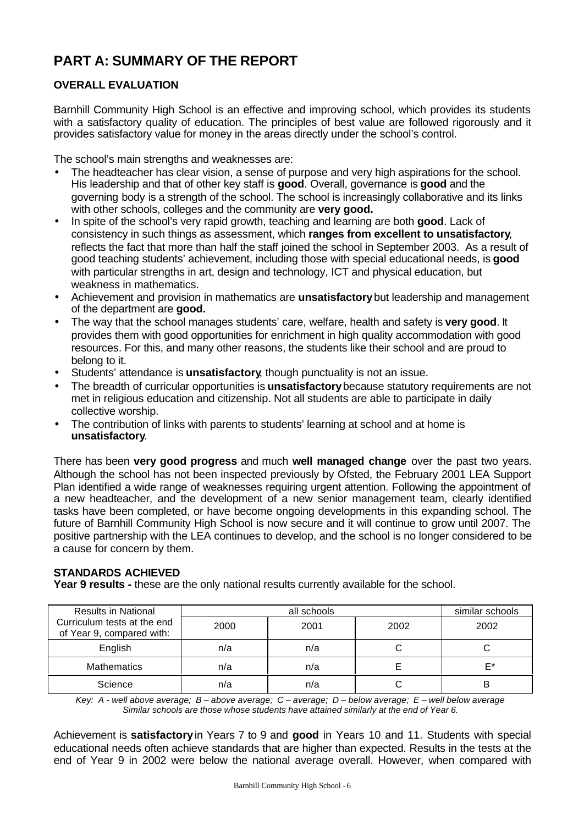# **PART A: SUMMARY OF THE REPORT**

# **OVERALL EVALUATION**

Barnhill Community High School is an effective and improving school, which provides its students with a satisfactory quality of education. The principles of best value are followed rigorously and it provides satisfactory value for money in the areas directly under the school's control.

The school's main strengths and weaknesses are:

- The headteacher has clear vision, a sense of purpose and very high aspirations for the school. His leadership and that of other key staff is **good**. Overall, governance is **good** and the governing body is a strength of the school. The school is increasingly collaborative and its links with other schools, colleges and the community are **very good.**
- In spite of the school's very rapid growth, teaching and learning are both **good**. Lack of consistency in such things as assessment, which **ranges from excellent to unsatisfactory**, reflects the fact that more than half the staff joined the school in September 2003. As a result of good teaching students' achievement, including those with special educational needs, is **good** with particular strengths in art, design and technology, ICT and physical education, but weakness in mathematics.
- Achievement and provision in mathematics are **unsatisfactory** but leadership and management of the department are **good.**
- The way that the school manages students' care, welfare, health and safety is **very good**. It provides them with good opportunities for enrichment in high quality accommodation with good resources. For this, and many other reasons, the students like their school and are proud to belong to it.
- Students' attendance is **unsatisfactory**, though punctuality is not an issue.
- The breadth of curricular opportunities is **unsatisfactory** because statutory requirements are not met in religious education and citizenship. Not all students are able to participate in daily collective worship.
- The contribution of links with parents to students' learning at school and at home is **unsatisfactory**.

There has been **very good progress** and much **well managed change** over the past two years. Although the school has not been inspected previously by Ofsted, the February 2001 LEA Support Plan identified a wide range of weaknesses requiring urgent attention. Following the appointment of a new headteacher, and the development of a new senior management team, clearly identified tasks have been completed, or have become ongoing developments in this expanding school. The future of Barnhill Community High School is now secure and it will continue to grow until 2007. The positive partnership with the LEA continues to develop, and the school is no longer considered to be a cause for concern by them.

# **STANDARDS ACHIEVED**

**Year 9 results -** these are the only national results currently available for the school.

| <b>Results in National</b>                               |      | similar schools |      |      |
|----------------------------------------------------------|------|-----------------|------|------|
| Curriculum tests at the end<br>of Year 9, compared with: | 2000 | 2001            | 2002 | 2002 |
| English                                                  | n/a  | n/a             |      |      |
| <b>Mathematics</b>                                       | n/a  | n/a             |      | F*   |
| Science                                                  | n/a  | n/a             |      |      |

*Key: A - well above average; B – above average; C – average; D – below average; E – well below average Similar schools are those whose students have attained similarly at the end of Year 6.*

Achievement is **satisfactory** in Years 7 to 9 and **good** in Years 10 and 11. Students with special educational needs often achieve standards that are higher than expected. Results in the tests at the end of Year 9 in 2002 were below the national average overall. However, when compared with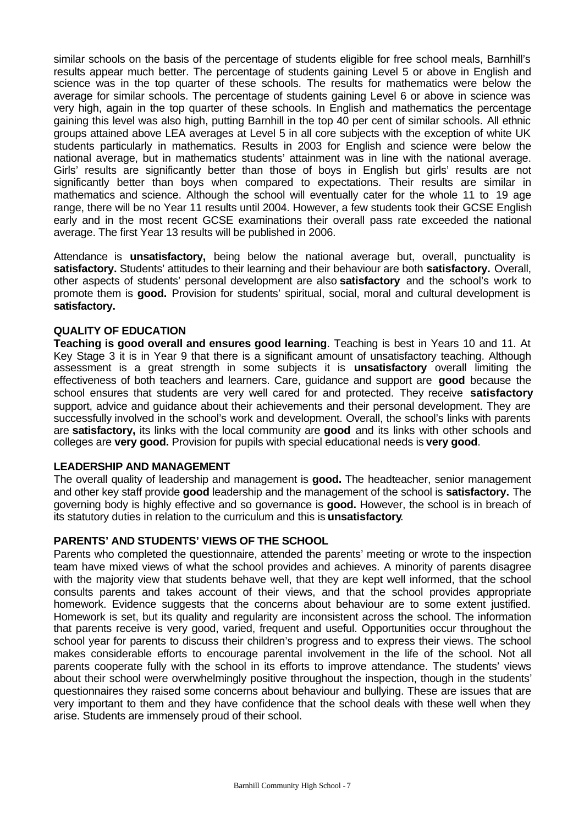similar schools on the basis of the percentage of students eligible for free school meals, Barnhill's results appear much better. The percentage of students gaining Level 5 or above in English and science was in the top quarter of these schools. The results for mathematics were below the average for similar schools. The percentage of students gaining Level 6 or above in science was very high, again in the top quarter of these schools. In English and mathematics the percentage gaining this level was also high, putting Barnhill in the top 40 per cent of similar schools. All ethnic groups attained above LEA averages at Level 5 in all core subjects with the exception of white UK students particularly in mathematics. Results in 2003 for English and science were below the national average, but in mathematics students' attainment was in line with the national average. Girls' results are significantly better than those of boys in English but girls' results are not significantly better than boys when compared to expectations. Their results are similar in mathematics and science. Although the school will eventually cater for the whole 11 to 19 age range, there will be no Year 11 results until 2004. However, a few students took their GCSE English early and in the most recent GCSE examinations their overall pass rate exceeded the national average. The first Year 13 results will be published in 2006.

Attendance is **unsatisfactory,** being below the national average but, overall, punctuality is **satisfactory.** Students' attitudes to their learning and their behaviour are both **satisfactory.** Overall, other aspects of students' personal development are also **satisfactory** and the school's work to promote them is **good.** Provision for students' spiritual, social, moral and cultural development is **satisfactory.**

# **QUALITY OF EDUCATION**

**Teaching is good overall and ensures good learning**. Teaching is best in Years 10 and 11. At Key Stage 3 it is in Year 9 that there is a significant amount of unsatisfactory teaching. Although assessment is a great strength in some subjects it is **unsatisfactory** overall limiting the effectiveness of both teachers and learners. Care, guidance and support are **good** because the school ensures that students are very well cared for and protected. They receive **satisfactory** support, advice and guidance about their achievements and their personal development. They are successfully involved in the school's work and development. Overall, the school's links with parents are **satisfactory,** its links with the local community are **good** and its links with other schools and colleges are **very good.** Provision for pupils with special educational needs is **very good**.

#### **LEADERSHIP AND MANAGEMENT**

The overall quality of leadership and management is **good.** The headteacher, senior management and other key staff provide **good** leadership and the management of the school is **satisfactory.** The governing body is highly effective and so governance is **good.** However, the school is in breach of its statutory duties in relation to the curriculum and this is **unsatisfactory**.

# **PARENTS' AND STUDENTS' VIEWS OF THE SCHOOL**

Parents who completed the questionnaire, attended the parents' meeting or wrote to the inspection team have mixed views of what the school provides and achieves. A minority of parents disagree with the majority view that students behave well, that they are kept well informed, that the school consults parents and takes account of their views, and that the school provides appropriate homework. Evidence suggests that the concerns about behaviour are to some extent justified. Homework is set, but its quality and regularity are inconsistent across the school. The information that parents receive is very good, varied, frequent and useful. Opportunities occur throughout the school year for parents to discuss their children's progress and to express their views. The school makes considerable efforts to encourage parental involvement in the life of the school. Not all parents cooperate fully with the school in its efforts to improve attendance. The students' views about their school were overwhelmingly positive throughout the inspection, though in the students' questionnaires they raised some concerns about behaviour and bullying. These are issues that are very important to them and they have confidence that the school deals with these well when they arise. Students are immensely proud of their school.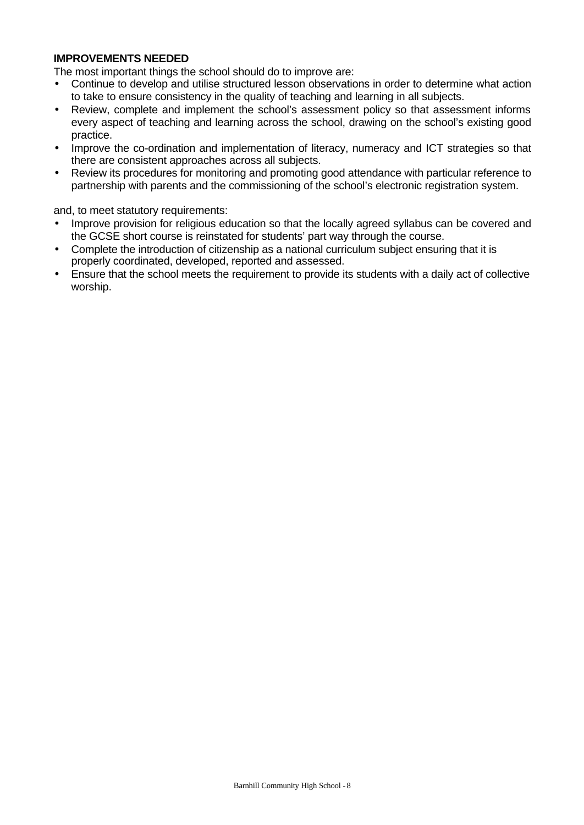# **IMPROVEMENTS NEEDED**

The most important things the school should do to improve are:

- Continue to develop and utilise structured lesson observations in order to determine what action to take to ensure consistency in the quality of teaching and learning in all subjects.
- Review, complete and implement the school's assessment policy so that assessment informs every aspect of teaching and learning across the school, drawing on the school's existing good practice.
- Improve the co-ordination and implementation of literacy, numeracy and ICT strategies so that there are consistent approaches across all subjects.
- Review its procedures for monitoring and promoting good attendance with particular reference to partnership with parents and the commissioning of the school's electronic registration system.

and, to meet statutory requirements:

- Improve provision for religious education so that the locally agreed syllabus can be covered and the GCSE short course is reinstated for students' part way through the course.
- Complete the introduction of citizenship as a national curriculum subject ensuring that it is properly coordinated, developed, reported and assessed.
- Ensure that the school meets the requirement to provide its students with a daily act of collective worship.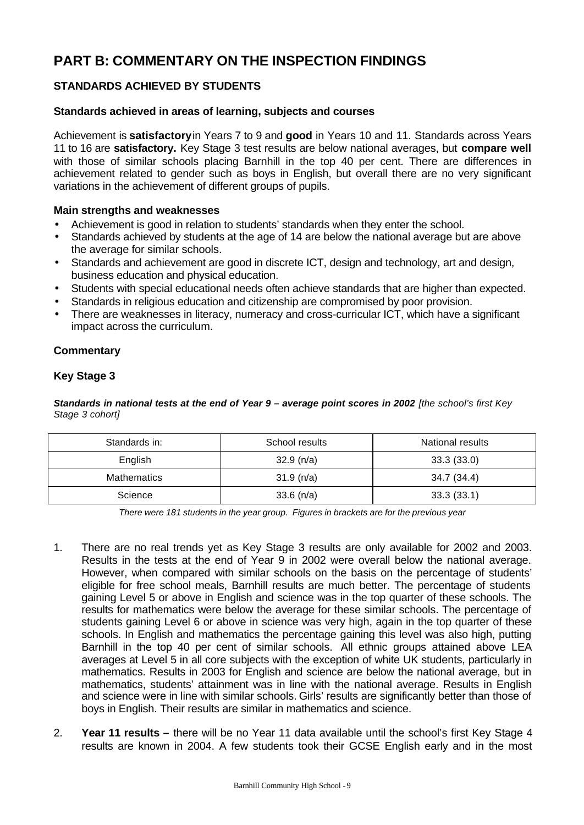# **PART B: COMMENTARY ON THE INSPECTION FINDINGS**

# **STANDARDS ACHIEVED BY STUDENTS**

#### **Standards achieved in areas of learning, subjects and courses**

Achievement is **satisfactory** in Years 7 to 9 and **good** in Years 10 and 11. Standards across Years 11 to 16 are **satisfactory.** Key Stage 3 test results are below national averages, but **compare well** with those of similar schools placing Barnhill in the top 40 per cent. There are differences in achievement related to gender such as boys in English, but overall there are no very significant variations in the achievement of different groups of pupils.

#### **Main strengths and weaknesses**

- Achievement is good in relation to students' standards when they enter the school.
- Standards achieved by students at the age of 14 are below the national average but are above the average for similar schools.
- Standards and achievement are good in discrete ICT, design and technology, art and design, business education and physical education.
- Students with special educational needs often achieve standards that are higher than expected.
- Standards in religious education and citizenship are compromised by poor provision.
- There are weaknesses in literacy, numeracy and cross-curricular ICT, which have a significant impact across the curriculum.

# **Commentary**

# **Key Stage 3**

**Standards in national tests at the end of Year 9 – average point scores in 2002** [the school's first Key *Stage 3 cohort]*

| Standards in:      | School results | <b>National results</b> |
|--------------------|----------------|-------------------------|
| English            | 32.9(n/a)      | 33.3(33.0)              |
| <b>Mathematics</b> | 31.9(n/a)      | 34.7 (34.4)             |
| Science            | $33.6$ (n/a)   | 33.3(33.1)              |

*There were 181 students in the year group. Figures in brackets are for the previous year*

- 1. There are no real trends yet as Key Stage 3 results are only available for 2002 and 2003. Results in the tests at the end of Year 9 in 2002 were overall below the national average. However, when compared with similar schools on the basis on the percentage of students' eligible for free school meals, Barnhill results are much better. The percentage of students gaining Level 5 or above in English and science was in the top quarter of these schools. The results for mathematics were below the average for these similar schools. The percentage of students gaining Level 6 or above in science was very high, again in the top quarter of these schools. In English and mathematics the percentage gaining this level was also high, putting Barnhill in the top 40 per cent of similar schools. All ethnic groups attained above LEA averages at Level 5 in all core subjects with the exception of white UK students, particularly in mathematics. Results in 2003 for English and science are below the national average, but in mathematics, students' attainment was in line with the national average. Results in English and science were in line with similar schools. Girls' results are significantly better than those of boys in English. Their results are similar in mathematics and science.
- 2. **Year 11 results** there will be no Year 11 data available until the school's first Key Stage 4 results are known in 2004. A few students took their GCSE English early and in the most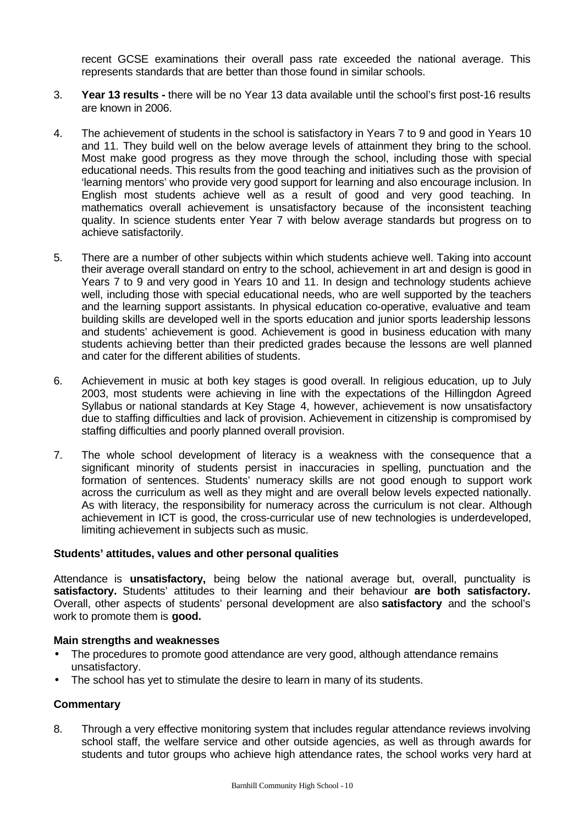recent GCSE examinations their overall pass rate exceeded the national average. This represents standards that are better than those found in similar schools.

- 3. **Year 13 results** there will be no Year 13 data available until the school's first post-16 results are known in 2006.
- 4. The achievement of students in the school is satisfactory in Years 7 to 9 and good in Years 10 and 11. They build well on the below average levels of attainment they bring to the school. Most make good progress as they move through the school, including those with special educational needs. This results from the good teaching and initiatives such as the provision of 'learning mentors' who provide very good support for learning and also encourage inclusion. In English most students achieve well as a result of good and very good teaching. In mathematics overall achievement is unsatisfactory because of the inconsistent teaching quality. In science students enter Year 7 with below average standards but progress on to achieve satisfactorily.
- 5. There are a number of other subjects within which students achieve well. Taking into account their average overall standard on entry to the school, achievement in art and design is good in Years 7 to 9 and very good in Years 10 and 11. In design and technology students achieve well, including those with special educational needs, who are well supported by the teachers and the learning support assistants. In physical education co-operative, evaluative and team building skills are developed well in the sports education and junior sports leadership lessons and students' achievement is good. Achievement is good in business education with many students achieving better than their predicted grades because the lessons are well planned and cater for the different abilities of students.
- 6. Achievement in music at both key stages is good overall. In religious education, up to July 2003, most students were achieving in line with the expectations of the Hillingdon Agreed Syllabus or national standards at Key Stage 4, however, achievement is now unsatisfactory due to staffing difficulties and lack of provision. Achievement in citizenship is compromised by staffing difficulties and poorly planned overall provision.
- 7. The whole school development of literacy is a weakness with the consequence that a significant minority of students persist in inaccuracies in spelling, punctuation and the formation of sentences. Students' numeracy skills are not good enough to support work across the curriculum as well as they might and are overall below levels expected nationally. As with literacy, the responsibility for numeracy across the curriculum is not clear. Although achievement in ICT is good, the cross-curricular use of new technologies is underdeveloped, limiting achievement in subjects such as music.

# **Students' attitudes, values and other personal qualities**

Attendance is **unsatisfactory,** being below the national average but, overall, punctuality is **satisfactory.** Students' attitudes to their learning and their behaviour **are both satisfactory.** Overall, other aspects of students' personal development are also **satisfactory** and the school's work to promote them is **good.**

#### **Main strengths and weaknesses**

- The procedures to promote good attendance are very good, although attendance remains unsatisfactory.
- The school has yet to stimulate the desire to learn in many of its students.

#### **Commentary**

8. Through a very effective monitoring system that includes regular attendance reviews involving school staff, the welfare service and other outside agencies, as well as through awards for students and tutor groups who achieve high attendance rates, the school works very hard at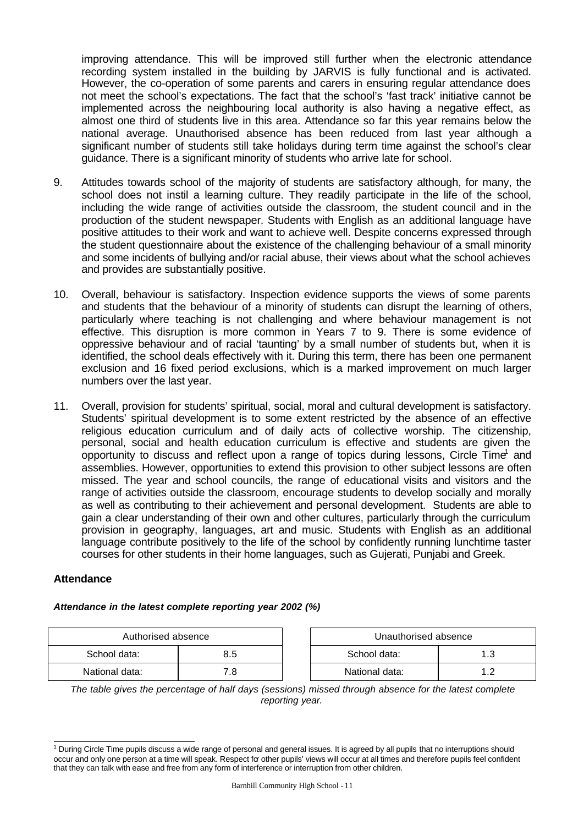improving attendance. This will be improved still further when the electronic attendance recording system installed in the building by JARVIS is fully functional and is activated. However, the co-operation of some parents and carers in ensuring regular attendance does not meet the school's expectations. The fact that the school's 'fast track' initiative cannot be implemented across the neighbouring local authority is also having a negative effect, as almost one third of students live in this area. Attendance so far this year remains below the national average. Unauthorised absence has been reduced from last year although a significant number of students still take holidays during term time against the school's clear guidance. There is a significant minority of students who arrive late for school.

- 9. Attitudes towards school of the majority of students are satisfactory although, for many, the school does not instil a learning culture. They readily participate in the life of the school, including the wide range of activities outside the classroom, the student council and in the production of the student newspaper. Students with English as an additional language have positive attitudes to their work and want to achieve well. Despite concerns expressed through the student questionnaire about the existence of the challenging behaviour of a small minority and some incidents of bullying and/or racial abuse, their views about what the school achieves and provides are substantially positive.
- 10. Overall, behaviour is satisfactory. Inspection evidence supports the views of some parents and students that the behaviour of a minority of students can disrupt the learning of others, particularly where teaching is not challenging and where behaviour management is not effective. This disruption is more common in Years 7 to 9. There is some evidence of oppressive behaviour and of racial 'taunting' by a small number of students but, when it is identified, the school deals effectively with it. During this term, there has been one permanent exclusion and 16 fixed period exclusions, which is a marked improvement on much larger numbers over the last year.
- 11. Overall, provision for students' spiritual, social, moral and cultural development is satisfactory. Students' spiritual development is to some extent restricted by the absence of an effective religious education curriculum and of daily acts of collective worship. The citizenship, personal, social and health education curriculum is effective and students are given the opportunity to discuss and reflect upon a range of topics during lessons, Circle  $\text{Time}^1$  and assemblies. However, opportunities to extend this provision to other subject lessons are often missed. The year and school councils, the range of educational visits and visitors and the range of activities outside the classroom, encourage students to develop socially and morally as well as contributing to their achievement and personal development. Students are able to gain a clear understanding of their own and other cultures, particularly through the curriculum provision in geography, languages, art and music. Students with English as an additional language contribute positively to the life of the school by confidently running lunchtime taster courses for other students in their home languages, such as Gujerati, Punjabi and Greek.

#### **Attendance**

| Authorised absence |     |  | Unauthorised absence |     |
|--------------------|-----|--|----------------------|-----|
| School data:       | 8.5 |  | School data:         |     |
| National data:     | 7.8 |  | National data:       | 1.2 |

| Unauthorised absence |    |  |  |  |
|----------------------|----|--|--|--|
| School data:<br>1.3  |    |  |  |  |
| National data:       | 12 |  |  |  |

*Attendance in the latest complete reporting year 2002 (%)*

*The table gives the percentage of half days (sessions) missed through absence for the latest complete reporting year.*

 1 During Circle Time pupils discuss a wide range of personal and general issues. It is agreed by all pupils that no interruptions should occur and only one person at a time will speak. Respect for other pupils' views will occur at all times and therefore pupils feel confident that they can talk with ease and free from any form of interference or interruption from other children.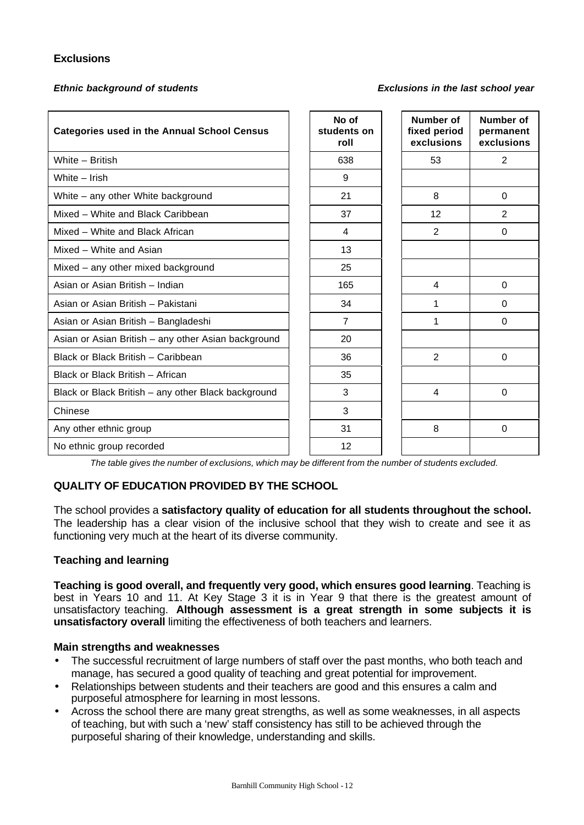# **Exclusions**

#### *Ethnic background of students Exclusions in the last school year*

| <b>Categories used in the Annual School Census</b>  | No of<br>students on<br>roll | Number of<br>fixed period<br>exclusions | Number of<br>permanent<br>exclusions |
|-----------------------------------------------------|------------------------------|-----------------------------------------|--------------------------------------|
| White - British                                     | 638                          | 53                                      | $\overline{2}$                       |
| White - Irish                                       | 9                            |                                         |                                      |
| White - any other White background                  | 21                           | 8                                       | $\Omega$                             |
| Mixed - White and Black Caribbean                   | 37                           | 12                                      | $\overline{2}$                       |
| Mixed - White and Black African                     | 4                            | 2                                       | $\Omega$                             |
| Mixed - White and Asian                             | 13                           |                                         |                                      |
| Mixed - any other mixed background                  | 25                           |                                         |                                      |
| Asian or Asian British - Indian                     | 165                          | 4                                       | $\Omega$                             |
| Asian or Asian British - Pakistani                  | 34                           | 1                                       | $\Omega$                             |
| Asian or Asian British - Bangladeshi                | $\overline{7}$               | 1                                       | $\Omega$                             |
| Asian or Asian British - any other Asian background | 20                           |                                         |                                      |
| Black or Black British - Caribbean                  | 36                           | 2                                       | $\Omega$                             |
| Black or Black British - African                    | 35                           |                                         |                                      |
| Black or Black British - any other Black background | 3                            | $\overline{4}$                          | $\Omega$                             |
| Chinese                                             | 3                            |                                         |                                      |
| Any other ethnic group                              | 31                           | 8                                       | $\Omega$                             |
| No ethnic group recorded                            | 12                           |                                         |                                      |

*The table gives the number of exclusions, which may be different from the number of students excluded.*

# **QUALITY OF EDUCATION PROVIDED BY THE SCHOOL**

The school provides a **satisfactory quality of education for all students throughout the school.** The leadership has a clear vision of the inclusive school that they wish to create and see it as functioning very much at the heart of its diverse community.

#### **Teaching and learning**

**Teaching is good overall, and frequently very good, which ensures good learning**. Teaching is best in Years 10 and 11. At Key Stage 3 it is in Year 9 that there is the greatest amount of unsatisfactory teaching. **Although assessment is a great strength in some subjects it is unsatisfactory overall** limiting the effectiveness of both teachers and learners.

#### **Main strengths and weaknesses**

- The successful recruitment of large numbers of staff over the past months, who both teach and manage, has secured a good quality of teaching and great potential for improvement.
- Relationships between students and their teachers are good and this ensures a calm and purposeful atmosphere for learning in most lessons.
- Across the school there are many great strengths, as well as some weaknesses, in all aspects of teaching, but with such a 'new' staff consistency has still to be achieved through the purposeful sharing of their knowledge, understanding and skills.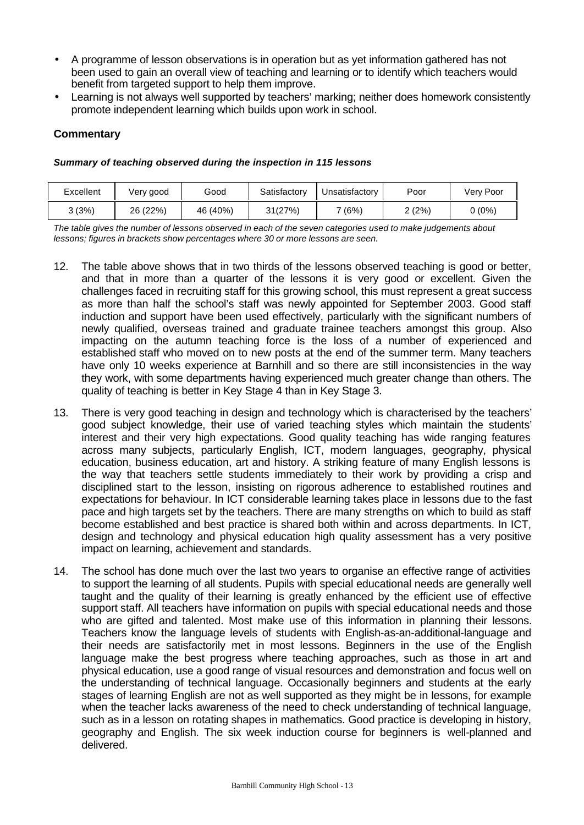- A programme of lesson observations is in operation but as yet information gathered has not been used to gain an overall view of teaching and learning or to identify which teachers would benefit from targeted support to help them improve.
- Learning is not always well supported by teachers' marking; neither does homework consistently promote independent learning which builds upon work in school.

# **Commentary**

#### *Summary of teaching observed during the inspection in 115 lessons*

| Excellent | Very good | Good     | Satisfactorv | Unsatisfactory | Poor   | Very Poor |
|-----------|-----------|----------|--------------|----------------|--------|-----------|
| (3%) د    | 26 (22%)  | 46 (40%) | 31(27%)      | 7 (6%)         | 2 (2%) | (0%)      |

*The table gives the number of lessons observed in each of the seven categories used to make judgements about lessons; figures in brackets show percentages where 30 or more lessons are seen.*

- 12. The table above shows that in two thirds of the lessons observed teaching is good or better, and that in more than a quarter of the lessons it is very good or excellent. Given the challenges faced in recruiting staff for this growing school, this must represent a great success as more than half the school's staff was newly appointed for September 2003. Good staff induction and support have been used effectively, particularly with the significant numbers of newly qualified, overseas trained and graduate trainee teachers amongst this group. Also impacting on the autumn teaching force is the loss of a number of experienced and established staff who moved on to new posts at the end of the summer term. Many teachers have only 10 weeks experience at Barnhill and so there are still inconsistencies in the way they work, with some departments having experienced much greater change than others. The quality of teaching is better in Key Stage 4 than in Key Stage 3.
- 13. There is very good teaching in design and technology which is characterised by the teachers' good subject knowledge, their use of varied teaching styles which maintain the students' interest and their very high expectations. Good quality teaching has wide ranging features across many subjects, particularly English, ICT, modern languages, geography, physical education, business education, art and history. A striking feature of many English lessons is the way that teachers settle students immediately to their work by providing a crisp and disciplined start to the lesson, insisting on rigorous adherence to established routines and expectations for behaviour. In ICT considerable learning takes place in lessons due to the fast pace and high targets set by the teachers. There are many strengths on which to build as staff become established and best practice is shared both within and across departments. In ICT, design and technology and physical education high quality assessment has a very positive impact on learning, achievement and standards.
- 14. The school has done much over the last two years to organise an effective range of activities to support the learning of all students. Pupils with special educational needs are generally well taught and the quality of their learning is greatly enhanced by the efficient use of effective support staff. All teachers have information on pupils with special educational needs and those who are gifted and talented. Most make use of this information in planning their lessons. Teachers know the language levels of students with English-as-an-additional-language and their needs are satisfactorily met in most lessons. Beginners in the use of the English language make the best progress where teaching approaches, such as those in art and physical education, use a good range of visual resources and demonstration and focus well on the understanding of technical language. Occasionally beginners and students at the early stages of learning English are not as well supported as they might be in lessons, for example when the teacher lacks awareness of the need to check understanding of technical language, such as in a lesson on rotating shapes in mathematics. Good practice is developing in history, geography and English. The six week induction course for beginners is well-planned and delivered.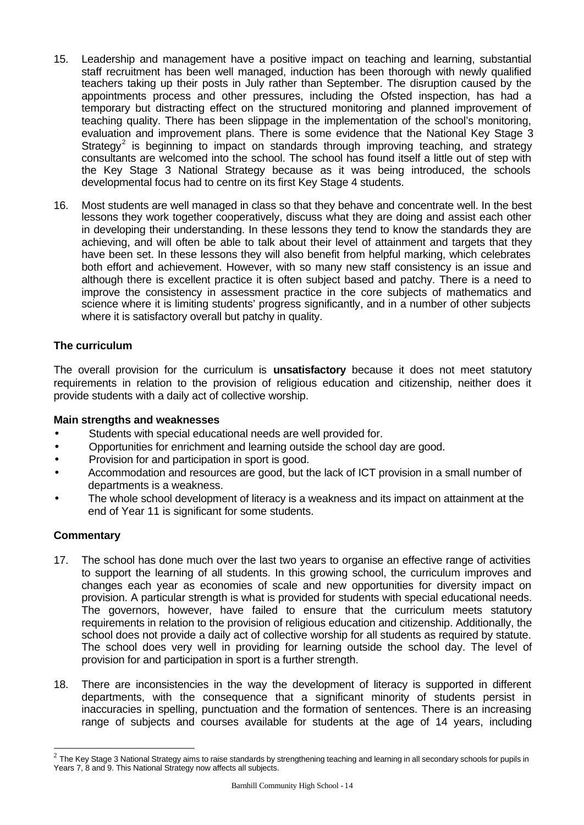- 15. Leadership and management have a positive impact on teaching and learning, substantial staff recruitment has been well managed, induction has been thorough with newly qualified teachers taking up their posts in July rather than September. The disruption caused by the appointments process and other pressures, including the Ofsted inspection, has had a temporary but distracting effect on the structured monitoring and planned improvement of teaching quality. There has been slippage in the implementation of the school's monitoring, evaluation and improvement plans. There is some evidence that the National Key Stage 3 Strategy<sup>2</sup> is beginning to impact on standards through improving teaching, and strategy consultants are welcomed into the school. The school has found itself a little out of step with the Key Stage 3 National Strategy because as it was being introduced, the schools developmental focus had to centre on its first Key Stage 4 students.
- 16. Most students are well managed in class so that they behave and concentrate well. In the best lessons they work together cooperatively, discuss what they are doing and assist each other in developing their understanding. In these lessons they tend to know the standards they are achieving, and will often be able to talk about their level of attainment and targets that they have been set. In these lessons they will also benefit from helpful marking, which celebrates both effort and achievement. However, with so many new staff consistency is an issue and although there is excellent practice it is often subject based and patchy. There is a need to improve the consistency in assessment practice in the core subjects of mathematics and science where it is limiting students' progress significantly, and in a number of other subjects where it is satisfactory overall but patchy in quality.

# **The curriculum**

The overall provision for the curriculum is **unsatisfactory** because it does not meet statutory requirements in relation to the provision of religious education and citizenship, neither does it provide students with a daily act of collective worship.

#### **Main strengths and weaknesses**

- Students with special educational needs are well provided for.
- Opportunities for enrichment and learning outside the school day are good.
- Provision for and participation in sport is good.
- Accommodation and resources are good, but the lack of ICT provision in a small number of departments is a weakness.
- The whole school development of literacy is a weakness and its impact on attainment at the end of Year 11 is significant for some students.

# **Commentary**

l

- 17. The school has done much over the last two years to organise an effective range of activities to support the learning of all students. In this growing school, the curriculum improves and changes each year as economies of scale and new opportunities for diversity impact on provision. A particular strength is what is provided for students with special educational needs. The governors, however, have failed to ensure that the curriculum meets statutory requirements in relation to the provision of religious education and citizenship. Additionally, the school does not provide a daily act of collective worship for all students as required by statute. The school does very well in providing for learning outside the school day. The level of provision for and participation in sport is a further strength.
- 18. There are inconsistencies in the way the development of literacy is supported in different departments, with the consequence that a significant minority of students persist in inaccuracies in spelling, punctuation and the formation of sentences. There is an increasing range of subjects and courses available for students at the age of 14 years, including

 $^2$  The Key Stage 3 National Strategy aims to raise standards by strengthening teaching and learning in all secondary schools for pupils in Years 7, 8 and 9. This National Strategy now affects all subjects.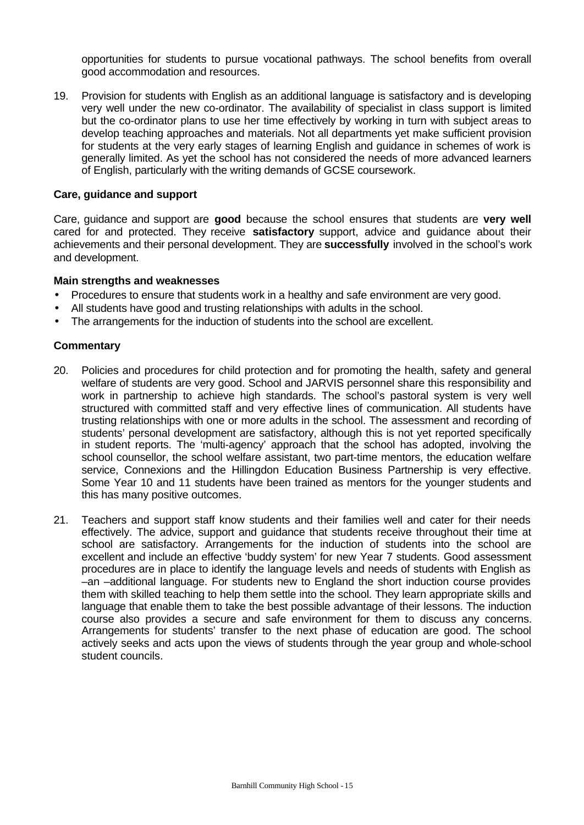opportunities for students to pursue vocational pathways. The school benefits from overall good accommodation and resources.

19. Provision for students with English as an additional language is satisfactory and is developing very well under the new co-ordinator. The availability of specialist in class support is limited but the co-ordinator plans to use her time effectively by working in turn with subject areas to develop teaching approaches and materials. Not all departments yet make sufficient provision for students at the very early stages of learning English and guidance in schemes of work is generally limited. As yet the school has not considered the needs of more advanced learners of English, particularly with the writing demands of GCSE coursework.

#### **Care, guidance and support**

Care, guidance and support are **good** because the school ensures that students are **very well** cared for and protected. They receive **satisfactory** support, advice and guidance about their achievements and their personal development. They are **successfully** involved in the school's work and development.

#### **Main strengths and weaknesses**

- Procedures to ensure that students work in a healthy and safe environment are very good.
- All students have good and trusting relationships with adults in the school.
- The arrangements for the induction of students into the school are excellent.

- 20. Policies and procedures for child protection and for promoting the health, safety and general welfare of students are very good. School and JARVIS personnel share this responsibility and work in partnership to achieve high standards. The school's pastoral system is very well structured with committed staff and very effective lines of communication. All students have trusting relationships with one or more adults in the school. The assessment and recording of students' personal development are satisfactory, although this is not yet reported specifically in student reports. The 'multi-agency' approach that the school has adopted, involving the school counsellor, the school welfare assistant, two part-time mentors, the education welfare service, Connexions and the Hillingdon Education Business Partnership is very effective. Some Year 10 and 11 students have been trained as mentors for the younger students and this has many positive outcomes.
- 21. Teachers and support staff know students and their families well and cater for their needs effectively. The advice, support and guidance that students receive throughout their time at school are satisfactory. Arrangements for the induction of students into the school are excellent and include an effective 'buddy system' for new Year 7 students. Good assessment procedures are in place to identify the language levels and needs of students with English as –an –additional language. For students new to England the short induction course provides them with skilled teaching to help them settle into the school. They learn appropriate skills and language that enable them to take the best possible advantage of their lessons. The induction course also provides a secure and safe environment for them to discuss any concerns. Arrangements for students' transfer to the next phase of education are good. The school actively seeks and acts upon the views of students through the year group and whole-school student councils.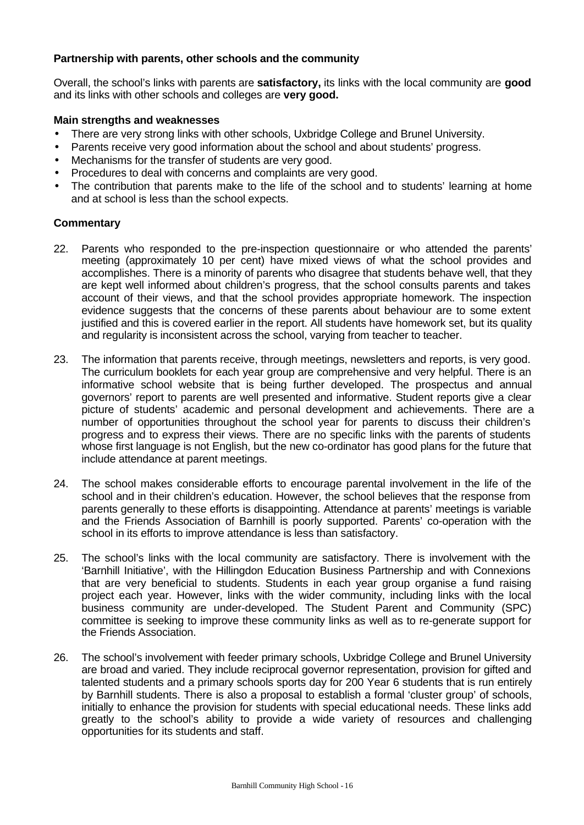# **Partnership with parents, other schools and the community**

Overall, the school's links with parents are **satisfactory,** its links with the local community are **good** and its links with other schools and colleges are **very good.**

#### **Main strengths and weaknesses**

- There are very strong links with other schools, Uxbridge College and Brunel University.
- Parents receive very good information about the school and about students' progress.
- Mechanisms for the transfer of students are very good.
- Procedures to deal with concerns and complaints are very good.
- The contribution that parents make to the life of the school and to students' learning at home and at school is less than the school expects.

- 22. Parents who responded to the pre-inspection questionnaire or who attended the parents' meeting (approximately 10 per cent) have mixed views of what the school provides and accomplishes. There is a minority of parents who disagree that students behave well, that they are kept well informed about children's progress, that the school consults parents and takes account of their views, and that the school provides appropriate homework. The inspection evidence suggests that the concerns of these parents about behaviour are to some extent justified and this is covered earlier in the report. All students have homework set, but its quality and regularity is inconsistent across the school, varying from teacher to teacher.
- 23. The information that parents receive, through meetings, newsletters and reports, is very good. The curriculum booklets for each year group are comprehensive and very helpful. There is an informative school website that is being further developed. The prospectus and annual governors' report to parents are well presented and informative. Student reports give a clear picture of students' academic and personal development and achievements. There are a number of opportunities throughout the school year for parents to discuss their children's progress and to express their views. There are no specific links with the parents of students whose first language is not English, but the new co-ordinator has good plans for the future that include attendance at parent meetings.
- 24. The school makes considerable efforts to encourage parental involvement in the life of the school and in their children's education. However, the school believes that the response from parents generally to these efforts is disappointing. Attendance at parents' meetings is variable and the Friends Association of Barnhill is poorly supported. Parents' co-operation with the school in its efforts to improve attendance is less than satisfactory.
- 25. The school's links with the local community are satisfactory. There is involvement with the 'Barnhill Initiative', with the Hillingdon Education Business Partnership and with Connexions that are very beneficial to students. Students in each year group organise a fund raising project each year. However, links with the wider community, including links with the local business community are under-developed. The Student Parent and Community (SPC) committee is seeking to improve these community links as well as to re-generate support for the Friends Association.
- 26. The school's involvement with feeder primary schools, Uxbridge College and Brunel University are broad and varied. They include reciprocal governor representation, provision for gifted and talented students and a primary schools sports day for 200 Year 6 students that is run entirely by Barnhill students. There is also a proposal to establish a formal 'cluster group' of schools, initially to enhance the provision for students with special educational needs. These links add greatly to the school's ability to provide a wide variety of resources and challenging opportunities for its students and staff.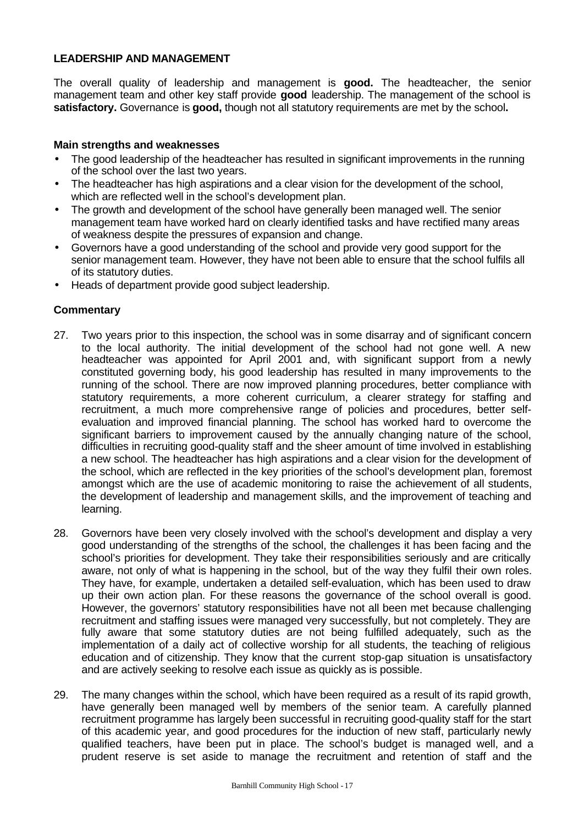#### **LEADERSHIP AND MANAGEMENT**

The overall quality of leadership and management is **good.** The headteacher, the senior management team and other key staff provide **good** leadership. The management of the school is **satisfactory.** Governance is **good,** though not all statutory requirements are met by the school**.**

#### **Main strengths and weaknesses**

- The good leadership of the headteacher has resulted in significant improvements in the running of the school over the last two years.
- The headteacher has high aspirations and a clear vision for the development of the school, which are reflected well in the school's development plan.
- The growth and development of the school have generally been managed well. The senior management team have worked hard on clearly identified tasks and have rectified many areas of weakness despite the pressures of expansion and change.
- Governors have a good understanding of the school and provide very good support for the senior management team. However, they have not been able to ensure that the school fulfils all of its statutory duties.
- Heads of department provide good subject leadership.

- 27. Two years prior to this inspection, the school was in some disarray and of significant concern to the local authority. The initial development of the school had not gone well. A new headteacher was appointed for April 2001 and, with significant support from a newly constituted governing body, his good leadership has resulted in many improvements to the running of the school. There are now improved planning procedures, better compliance with statutory requirements, a more coherent curriculum, a clearer strategy for staffing and recruitment, a much more comprehensive range of policies and procedures, better selfevaluation and improved financial planning. The school has worked hard to overcome the significant barriers to improvement caused by the annually changing nature of the school, difficulties in recruiting good-quality staff and the sheer amount of time involved in establishing a new school. The headteacher has high aspirations and a clear vision for the development of the school, which are reflected in the key priorities of the school's development plan, foremost amongst which are the use of academic monitoring to raise the achievement of all students, the development of leadership and management skills, and the improvement of teaching and learning.
- 28. Governors have been very closely involved with the school's development and display a very good understanding of the strengths of the school, the challenges it has been facing and the school's priorities for development. They take their responsibilities seriously and are critically aware, not only of what is happening in the school, but of the way they fulfil their own roles. They have, for example, undertaken a detailed self-evaluation, which has been used to draw up their own action plan. For these reasons the governance of the school overall is good. However, the governors' statutory responsibilities have not all been met because challenging recruitment and staffing issues were managed very successfully, but not completely. They are fully aware that some statutory duties are not being fulfilled adequately, such as the implementation of a daily act of collective worship for all students, the teaching of religious education and of citizenship. They know that the current stop-gap situation is unsatisfactory and are actively seeking to resolve each issue as quickly as is possible.
- 29. The many changes within the school, which have been required as a result of its rapid growth, have generally been managed well by members of the senior team. A carefully planned recruitment programme has largely been successful in recruiting good-quality staff for the start of this academic year, and good procedures for the induction of new staff, particularly newly qualified teachers, have been put in place. The school's budget is managed well, and a prudent reserve is set aside to manage the recruitment and retention of staff and the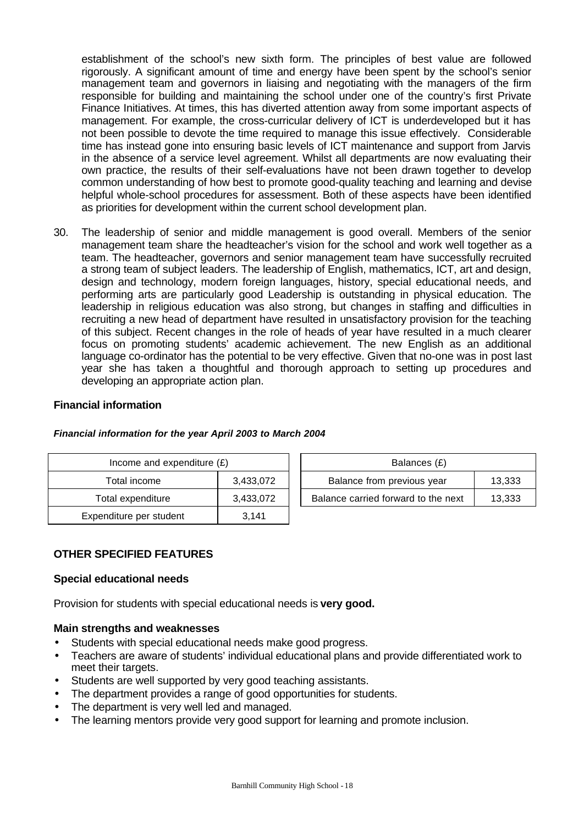establishment of the school's new sixth form. The principles of best value are followed rigorously. A significant amount of time and energy have been spent by the school's senior management team and governors in liaising and negotiating with the managers of the firm responsible for building and maintaining the school under one of the country's first Private Finance Initiatives. At times, this has diverted attention away from some important aspects of management. For example, the cross-curricular delivery of ICT is underdeveloped but it has not been possible to devote the time required to manage this issue effectively. Considerable time has instead gone into ensuring basic levels of ICT maintenance and support from Jarvis in the absence of a service level agreement. Whilst all departments are now evaluating their own practice, the results of their self-evaluations have not been drawn together to develop common understanding of how best to promote good-quality teaching and learning and devise helpful whole-school procedures for assessment. Both of these aspects have been identified as priorities for development within the current school development plan.

30. The leadership of senior and middle management is good overall. Members of the senior management team share the headteacher's vision for the school and work well together as a team. The headteacher, governors and senior management team have successfully recruited a strong team of subject leaders. The leadership of English, mathematics, ICT, art and design, design and technology, modern foreign languages, history, special educational needs, and performing arts are particularly good Leadership is outstanding in physical education. The leadership in religious education was also strong, but changes in staffing and difficulties in recruiting a new head of department have resulted in unsatisfactory provision for the teaching of this subject. Recent changes in the role of heads of year have resulted in a much clearer focus on promoting students' academic achievement. The new English as an additional language co-ordinator has the potential to be very effective. Given that no-one was in post last year she has taken a thoughtful and thorough approach to setting up procedures and developing an appropriate action plan.

#### **Financial information**

| Income and expenditure $(E)$   |       | Balances (£)                                  |  |  |
|--------------------------------|-------|-----------------------------------------------|--|--|
| 3.433.072<br>Total income      |       | Balance from previous year<br>13,333          |  |  |
| Total expenditure<br>3,433,072 |       | Balance carried forward to the next<br>13,333 |  |  |
| Expenditure per student        | 3,141 |                                               |  |  |

#### *Financial information for the year April 2003 to March 2004*

# **OTHER SPECIFIED FEATURES**

#### **Special educational needs**

Provision for students with special educational needs is **very good.**

#### **Main strengths and weaknesses**

- Students with special educational needs make good progress.
- Teachers are aware of students' individual educational plans and provide differentiated work to meet their targets.
- Students are well supported by very good teaching assistants.
- The department provides a range of good opportunities for students.
- The department is very well led and managed.
- The learning mentors provide very good support for learning and promote inclusion.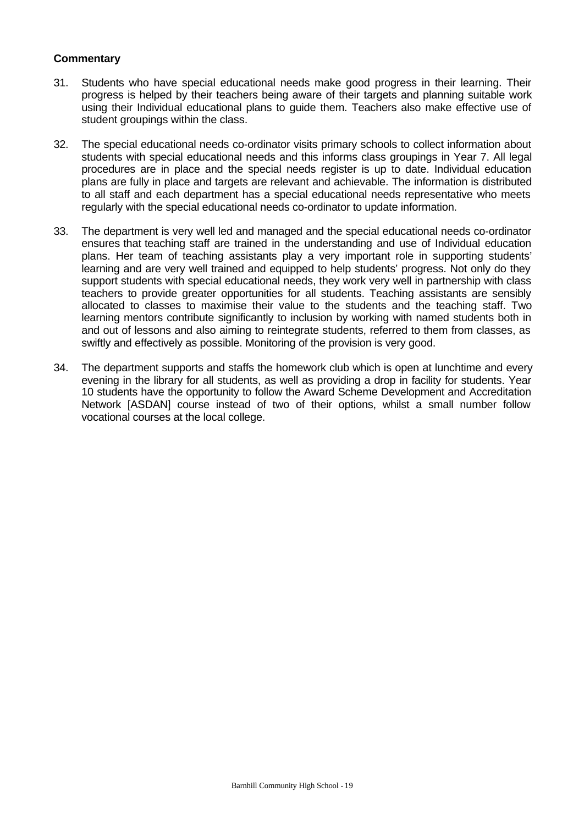- 31. Students who have special educational needs make good progress in their learning. Their progress is helped by their teachers being aware of their targets and planning suitable work using their Individual educational plans to guide them. Teachers also make effective use of student groupings within the class.
- 32. The special educational needs co-ordinator visits primary schools to collect information about students with special educational needs and this informs class groupings in Year 7. All legal procedures are in place and the special needs register is up to date. Individual education plans are fully in place and targets are relevant and achievable. The information is distributed to all staff and each department has a special educational needs representative who meets regularly with the special educational needs co-ordinator to update information.
- 33. The department is very well led and managed and the special educational needs co-ordinator ensures that teaching staff are trained in the understanding and use of Individual education plans. Her team of teaching assistants play a very important role in supporting students' learning and are very well trained and equipped to help students' progress. Not only do they support students with special educational needs, they work very well in partnership with class teachers to provide greater opportunities for all students. Teaching assistants are sensibly allocated to classes to maximise their value to the students and the teaching staff. Two learning mentors contribute significantly to inclusion by working with named students both in and out of lessons and also aiming to reintegrate students, referred to them from classes, as swiftly and effectively as possible. Monitoring of the provision is very good.
- 34. The department supports and staffs the homework club which is open at lunchtime and every evening in the library for all students, as well as providing a drop in facility for students. Year 10 students have the opportunity to follow the Award Scheme Development and Accreditation Network [ASDAN] course instead of two of their options, whilst a small number follow vocational courses at the local college.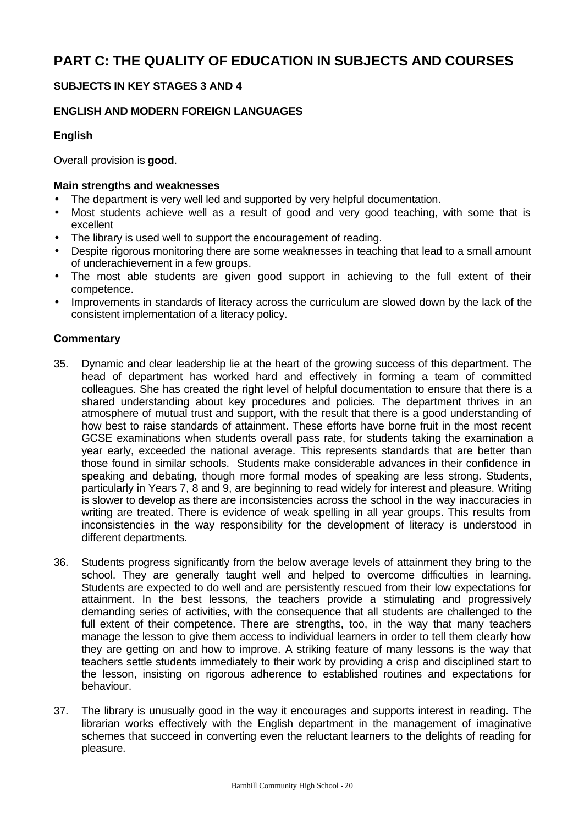# **SUBJECTS IN KEY STAGES 3 AND 4**

# **ENGLISH AND MODERN FOREIGN LANGUAGES**

# **English**

Overall provision is **good**.

# **Main strengths and weaknesses**

- The department is very well led and supported by very helpful documentation.
- Most students achieve well as a result of good and very good teaching, with some that is excellent
- The library is used well to support the encouragement of reading.
- Despite rigorous monitoring there are some weaknesses in teaching that lead to a small amount of underachievement in a few groups.
- The most able students are given good support in achieving to the full extent of their competence.
- Improvements in standards of literacy across the curriculum are slowed down by the lack of the consistent implementation of a literacy policy.

- 35. Dynamic and clear leadership lie at the heart of the growing success of this department. The head of department has worked hard and effectively in forming a team of committed colleagues. She has created the right level of helpful documentation to ensure that there is a shared understanding about key procedures and policies. The department thrives in an atmosphere of mutual trust and support, with the result that there is a good understanding of how best to raise standards of attainment. These efforts have borne fruit in the most recent GCSE examinations when students overall pass rate, for students taking the examination a year early, exceeded the national average. This represents standards that are better than those found in similar schools. Students make considerable advances in their confidence in speaking and debating, though more formal modes of speaking are less strong. Students, particularly in Years 7, 8 and 9, are beginning to read widely for interest and pleasure. Writing is slower to develop as there are inconsistencies across the school in the way inaccuracies in writing are treated. There is evidence of weak spelling in all year groups. This results from inconsistencies in the way responsibility for the development of literacy is understood in different departments.
- 36. Students progress significantly from the below average levels of attainment they bring to the school. They are generally taught well and helped to overcome difficulties in learning. Students are expected to do well and are persistently rescued from their low expectations for attainment. In the best lessons, the teachers provide a stimulating and progressively demanding series of activities, with the consequence that all students are challenged to the full extent of their competence. There are strengths, too, in the way that many teachers manage the lesson to give them access to individual learners in order to tell them clearly how they are getting on and how to improve. A striking feature of many lessons is the way that teachers settle students immediately to their work by providing a crisp and disciplined start to the lesson, insisting on rigorous adherence to established routines and expectations for behaviour.
- 37. The library is unusually good in the way it encourages and supports interest in reading. The librarian works effectively with the English department in the management of imaginative schemes that succeed in converting even the reluctant learners to the delights of reading for pleasure.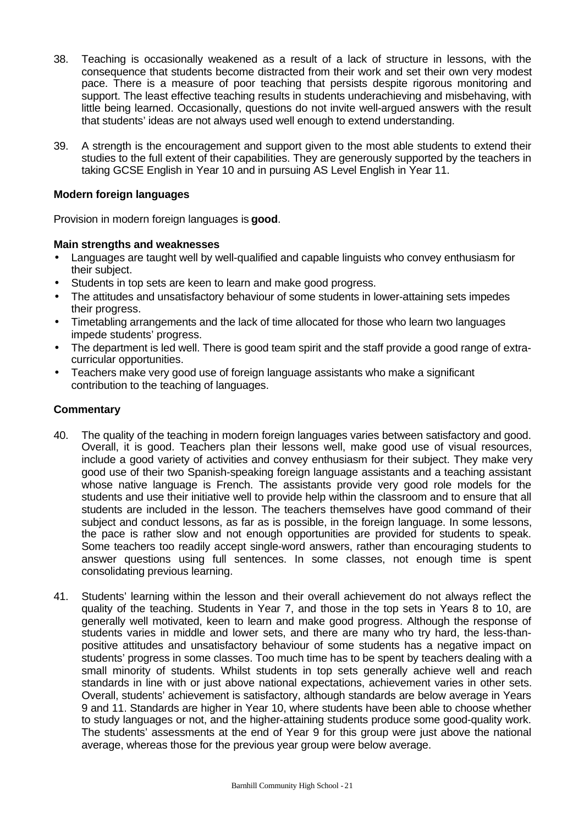- 38. Teaching is occasionally weakened as a result of a lack of structure in lessons, with the consequence that students become distracted from their work and set their own very modest pace. There is a measure of poor teaching that persists despite rigorous monitoring and support. The least effective teaching results in students underachieving and misbehaving, with little being learned. Occasionally, questions do not invite well-argued answers with the result that students' ideas are not always used well enough to extend understanding.
- 39. A strength is the encouragement and support given to the most able students to extend their studies to the full extent of their capabilities. They are generously supported by the teachers in taking GCSE English in Year 10 and in pursuing AS Level English in Year 11.

# **Modern foreign languages**

Provision in modern foreign languages is **good**.

# **Main strengths and weaknesses**

- Languages are taught well by well-qualified and capable linguists who convey enthusiasm for their subject.
- Students in top sets are keen to learn and make good progress.
- The attitudes and unsatisfactory behaviour of some students in lower-attaining sets impedes their progress.
- Timetabling arrangements and the lack of time allocated for those who learn two languages impede students' progress.
- The department is led well. There is good team spirit and the staff provide a good range of extracurricular opportunities.
- Teachers make very good use of foreign language assistants who make a significant contribution to the teaching of languages.

- 40. The quality of the teaching in modern foreign languages varies between satisfactory and good. Overall, it is good. Teachers plan their lessons well, make good use of visual resources, include a good variety of activities and convey enthusiasm for their subject. They make very good use of their two Spanish-speaking foreign language assistants and a teaching assistant whose native language is French. The assistants provide very good role models for the students and use their initiative well to provide help within the classroom and to ensure that all students are included in the lesson. The teachers themselves have good command of their subject and conduct lessons, as far as is possible, in the foreign language. In some lessons, the pace is rather slow and not enough opportunities are provided for students to speak. Some teachers too readily accept single-word answers, rather than encouraging students to answer questions using full sentences. In some classes, not enough time is spent consolidating previous learning.
- 41. Students' learning within the lesson and their overall achievement do not always reflect the quality of the teaching. Students in Year 7, and those in the top sets in Years 8 to 10, are generally well motivated, keen to learn and make good progress. Although the response of students varies in middle and lower sets, and there are many who try hard, the less-thanpositive attitudes and unsatisfactory behaviour of some students has a negative impact on students' progress in some classes. Too much time has to be spent by teachers dealing with a small minority of students. Whilst students in top sets generally achieve well and reach standards in line with or just above national expectations, achievement varies in other sets. Overall, students' achievement is satisfactory, although standards are below average in Years 9 and 11. Standards are higher in Year 10, where students have been able to choose whether to study languages or not, and the higher-attaining students produce some good-quality work. The students' assessments at the end of Year 9 for this group were just above the national average, whereas those for the previous year group were below average.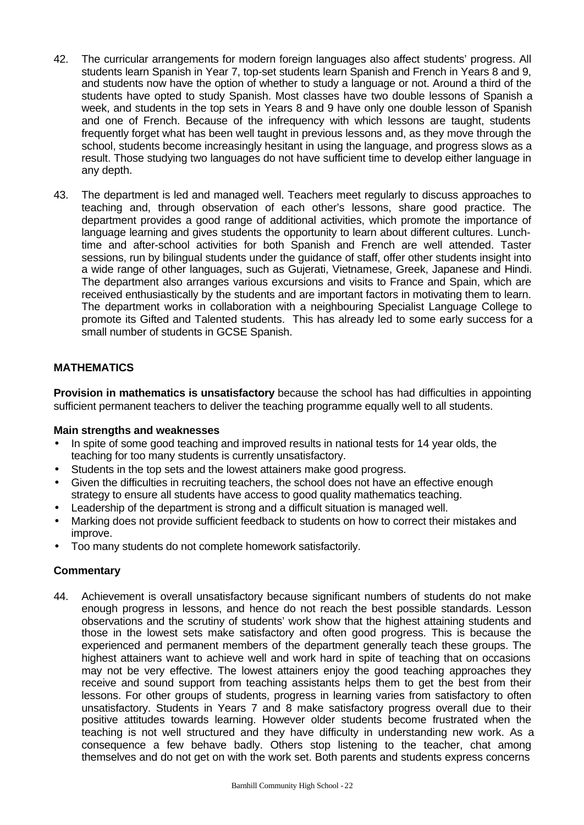- 42. The curricular arrangements for modern foreign languages also affect students' progress. All students learn Spanish in Year 7, top-set students learn Spanish and French in Years 8 and 9, and students now have the option of whether to study a language or not. Around a third of the students have opted to study Spanish. Most classes have two double lessons of Spanish a week, and students in the top sets in Years 8 and 9 have only one double lesson of Spanish and one of French. Because of the infrequency with which lessons are taught, students frequently forget what has been well taught in previous lessons and, as they move through the school, students become increasingly hesitant in using the language, and progress slows as a result. Those studying two languages do not have sufficient time to develop either language in any depth.
- 43. The department is led and managed well. Teachers meet regularly to discuss approaches to teaching and, through observation of each other's lessons, share good practice. The department provides a good range of additional activities, which promote the importance of language learning and gives students the opportunity to learn about different cultures. Lunchtime and after-school activities for both Spanish and French are well attended. Taster sessions, run by bilingual students under the guidance of staff, offer other students insight into a wide range of other languages, such as Gujerati, Vietnamese, Greek, Japanese and Hindi. The department also arranges various excursions and visits to France and Spain, which are received enthusiastically by the students and are important factors in motivating them to learn. The department works in collaboration with a neighbouring Specialist Language College to promote its Gifted and Talented students. This has already led to some early success for a small number of students in GCSE Spanish.

# **MATHEMATICS**

**Provision in mathematics is unsatisfactory** because the school has had difficulties in appointing sufficient permanent teachers to deliver the teaching programme equally well to all students.

#### **Main strengths and weaknesses**

- In spite of some good teaching and improved results in national tests for 14 year olds, the teaching for too many students is currently unsatisfactory.
- Students in the top sets and the lowest attainers make good progress.
- Given the difficulties in recruiting teachers, the school does not have an effective enough strategy to ensure all students have access to good quality mathematics teaching.
- Leadership of the department is strong and a difficult situation is managed well.
- Marking does not provide sufficient feedback to students on how to correct their mistakes and improve.
- Too many students do not complete homework satisfactorily.

# **Commentary**

44. Achievement is overall unsatisfactory because significant numbers of students do not make enough progress in lessons, and hence do not reach the best possible standards. Lesson observations and the scrutiny of students' work show that the highest attaining students and those in the lowest sets make satisfactory and often good progress. This is because the experienced and permanent members of the department generally teach these groups. The highest attainers want to achieve well and work hard in spite of teaching that on occasions may not be very effective. The lowest attainers enjoy the good teaching approaches they receive and sound support from teaching assistants helps them to get the best from their lessons. For other groups of students, progress in learning varies from satisfactory to often unsatisfactory. Students in Years 7 and 8 make satisfactory progress overall due to their positive attitudes towards learning. However older students become frustrated when the teaching is not well structured and they have difficulty in understanding new work. As a consequence a few behave badly. Others stop listening to the teacher, chat among themselves and do not get on with the work set. Both parents and students express concerns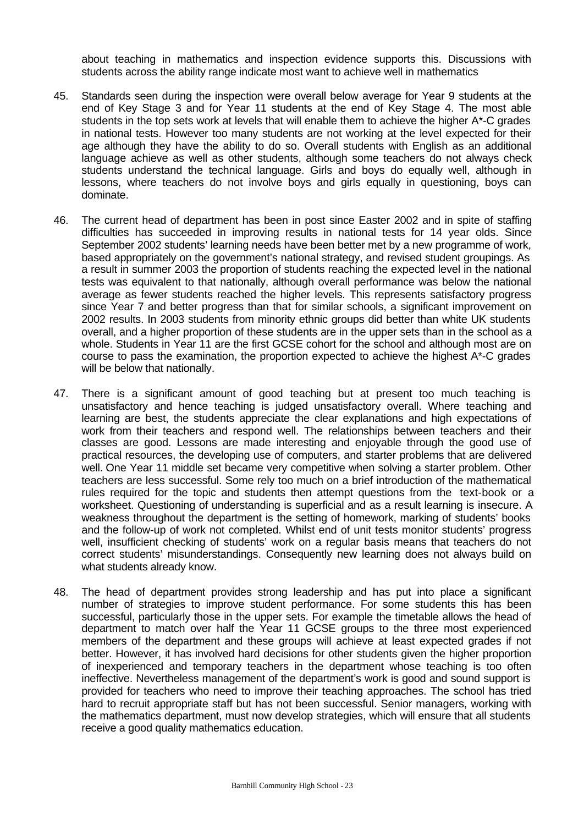about teaching in mathematics and inspection evidence supports this. Discussions with students across the ability range indicate most want to achieve well in mathematics

- 45. Standards seen during the inspection were overall below average for Year 9 students at the end of Key Stage 3 and for Year 11 students at the end of Key Stage 4. The most able students in the top sets work at levels that will enable them to achieve the higher  $A^*$ -C grades in national tests. However too many students are not working at the level expected for their age although they have the ability to do so. Overall students with English as an additional language achieve as well as other students, although some teachers do not always check students understand the technical language. Girls and boys do equally well, although in lessons, where teachers do not involve boys and girls equally in questioning, boys can dominate.
- 46. The current head of department has been in post since Easter 2002 and in spite of staffing difficulties has succeeded in improving results in national tests for 14 year olds. Since September 2002 students' learning needs have been better met by a new programme of work, based appropriately on the government's national strategy, and revised student groupings. As a result in summer 2003 the proportion of students reaching the expected level in the national tests was equivalent to that nationally, although overall performance was below the national average as fewer students reached the higher levels. This represents satisfactory progress since Year 7 and better progress than that for similar schools, a significant improvement on 2002 results. In 2003 students from minority ethnic groups did better than white UK students overall, and a higher proportion of these students are in the upper sets than in the school as a whole. Students in Year 11 are the first GCSE cohort for the school and although most are on course to pass the examination, the proportion expected to achieve the highest A\*-C grades will be below that nationally.
- 47. There is a significant amount of good teaching but at present too much teaching is unsatisfactory and hence teaching is judged unsatisfactory overall. Where teaching and learning are best, the students appreciate the clear explanations and high expectations of work from their teachers and respond well. The relationships between teachers and their classes are good. Lessons are made interesting and enjoyable through the good use of practical resources, the developing use of computers, and starter problems that are delivered well. One Year 11 middle set became very competitive when solving a starter problem. Other teachers are less successful. Some rely too much on a brief introduction of the mathematical rules required for the topic and students then attempt questions from the text-book or a worksheet. Questioning of understanding is superficial and as a result learning is insecure. A weakness throughout the department is the setting of homework, marking of students' books and the follow-up of work not completed. Whilst end of unit tests monitor students' progress well, insufficient checking of students' work on a regular basis means that teachers do not correct students' misunderstandings. Consequently new learning does not always build on what students already know.
- 48. The head of department provides strong leadership and has put into place a significant number of strategies to improve student performance. For some students this has been successful, particularly those in the upper sets. For example the timetable allows the head of department to match over half the Year 11 GCSE groups to the three most experienced members of the department and these groups will achieve at least expected grades if not better. However, it has involved hard decisions for other students given the higher proportion of inexperienced and temporary teachers in the department whose teaching is too often ineffective. Nevertheless management of the department's work is good and sound support is provided for teachers who need to improve their teaching approaches. The school has tried hard to recruit appropriate staff but has not been successful. Senior managers, working with the mathematics department, must now develop strategies, which will ensure that all students receive a good quality mathematics education.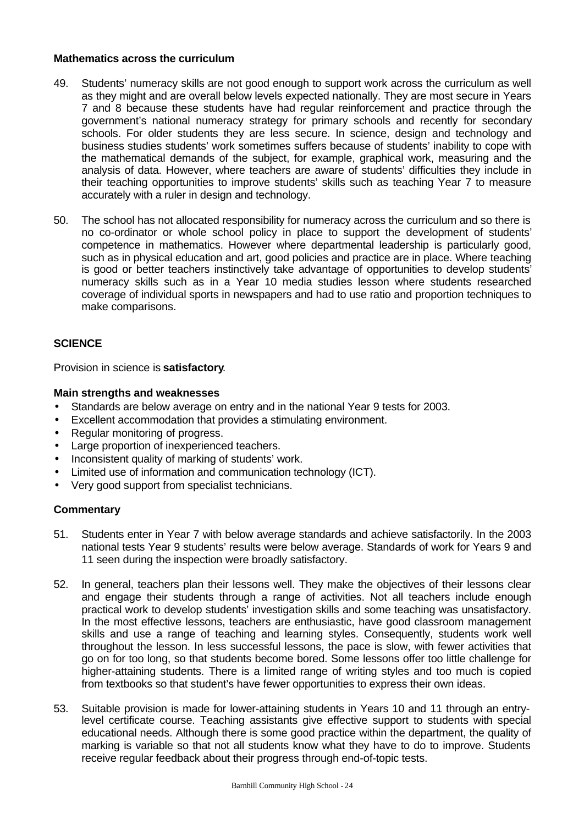#### **Mathematics across the curriculum**

- 49. Students' numeracy skills are not good enough to support work across the curriculum as well as they might and are overall below levels expected nationally. They are most secure in Years 7 and 8 because these students have had regular reinforcement and practice through the government's national numeracy strategy for primary schools and recently for secondary schools. For older students they are less secure. In science, design and technology and business studies students' work sometimes suffers because of students' inability to cope with the mathematical demands of the subject, for example, graphical work, measuring and the analysis of data. However, where teachers are aware of students' difficulties they include in their teaching opportunities to improve students' skills such as teaching Year 7 to measure accurately with a ruler in design and technology.
- 50. The school has not allocated responsibility for numeracy across the curriculum and so there is no co-ordinator or whole school policy in place to support the development of students' competence in mathematics. However where departmental leadership is particularly good, such as in physical education and art, good policies and practice are in place. Where teaching is good or better teachers instinctively take advantage of opportunities to develop students' numeracy skills such as in a Year 10 media studies lesson where students researched coverage of individual sports in newspapers and had to use ratio and proportion techniques to make comparisons.

# **SCIENCE**

Provision in science is **satisfactory**.

#### **Main strengths and weaknesses**

- Standards are below average on entry and in the national Year 9 tests for 2003.
- Excellent accommodation that provides a stimulating environment.
- Regular monitoring of progress.
- Large proportion of inexperienced teachers.
- Inconsistent quality of marking of students' work.
- Limited use of information and communication technology (ICT).
- Very good support from specialist technicians.

- 51. Students enter in Year 7 with below average standards and achieve satisfactorily. In the 2003 national tests Year 9 students' results were below average. Standards of work for Years 9 and 11 seen during the inspection were broadly satisfactory.
- 52. In general, teachers plan their lessons well. They make the objectives of their lessons clear and engage their students through a range of activities. Not all teachers include enough practical work to develop students' investigation skills and some teaching was unsatisfactory. In the most effective lessons, teachers are enthusiastic, have good classroom management skills and use a range of teaching and learning styles. Consequently, students work well throughout the lesson. In less successful lessons, the pace is slow, with fewer activities that go on for too long, so that students become bored. Some lessons offer too little challenge for higher-attaining students. There is a limited range of writing styles and too much is copied from textbooks so that student's have fewer opportunities to express their own ideas.
- 53. Suitable provision is made for lower-attaining students in Years 10 and 11 through an entrylevel certificate course. Teaching assistants give effective support to students with special educational needs. Although there is some good practice within the department, the quality of marking is variable so that not all students know what they have to do to improve. Students receive regular feedback about their progress through end-of-topic tests.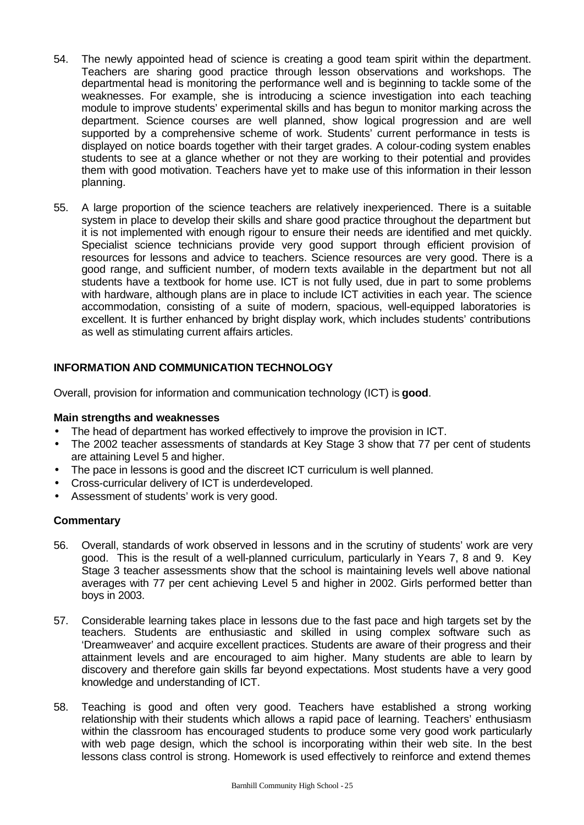- 54. The newly appointed head of science is creating a good team spirit within the department. Teachers are sharing good practice through lesson observations and workshops. The departmental head is monitoring the performance well and is beginning to tackle some of the weaknesses. For example, she is introducing a science investigation into each teaching module to improve students' experimental skills and has begun to monitor marking across the department. Science courses are well planned, show logical progression and are well supported by a comprehensive scheme of work. Students' current performance in tests is displayed on notice boards together with their target grades. A colour-coding system enables students to see at a glance whether or not they are working to their potential and provides them with good motivation. Teachers have yet to make use of this information in their lesson planning.
- 55. A large proportion of the science teachers are relatively inexperienced. There is a suitable system in place to develop their skills and share good practice throughout the department but it is not implemented with enough rigour to ensure their needs are identified and met quickly. Specialist science technicians provide very good support through efficient provision of resources for lessons and advice to teachers. Science resources are very good. There is a good range, and sufficient number, of modern texts available in the department but not all students have a textbook for home use. ICT is not fully used, due in part to some problems with hardware, although plans are in place to include ICT activities in each year. The science accommodation, consisting of a suite of modern, spacious, well-equipped laboratories is excellent. It is further enhanced by bright display work, which includes students' contributions as well as stimulating current affairs articles.

# **INFORMATION AND COMMUNICATION TECHNOLOGY**

Overall, provision for information and communication technology (ICT) is **good**.

#### **Main strengths and weaknesses**

- The head of department has worked effectively to improve the provision in ICT.
- The 2002 teacher assessments of standards at Key Stage 3 show that 77 per cent of students are attaining Level 5 and higher.
- The pace in lessons is good and the discreet ICT curriculum is well planned.
- Cross-curricular delivery of ICT is underdeveloped.
- Assessment of students' work is very good.

- 56. Overall, standards of work observed in lessons and in the scrutiny of students' work are very good. This is the result of a well-planned curriculum, particularly in Years 7, 8 and 9. Key Stage 3 teacher assessments show that the school is maintaining levels well above national averages with 77 per cent achieving Level 5 and higher in 2002. Girls performed better than boys in 2003.
- 57. Considerable learning takes place in lessons due to the fast pace and high targets set by the teachers. Students are enthusiastic and skilled in using complex software such as 'Dreamweaver' and acquire excellent practices. Students are aware of their progress and their attainment levels and are encouraged to aim higher. Many students are able to learn by discovery and therefore gain skills far beyond expectations. Most students have a very good knowledge and understanding of ICT.
- 58. Teaching is good and often very good. Teachers have established a strong working relationship with their students which allows a rapid pace of learning. Teachers' enthusiasm within the classroom has encouraged students to produce some very good work particularly with web page design, which the school is incorporating within their web site. In the best lessons class control is strong. Homework is used effectively to reinforce and extend themes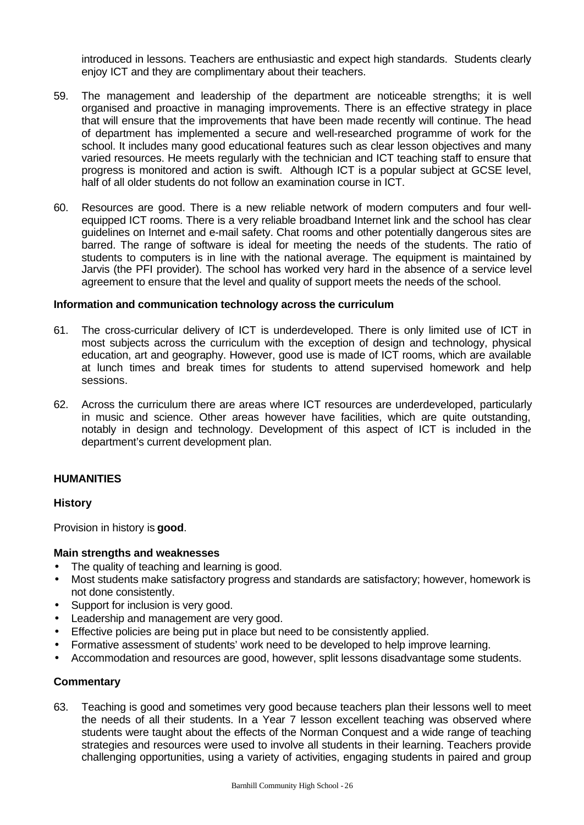introduced in lessons. Teachers are enthusiastic and expect high standards. Students clearly enjoy ICT and they are complimentary about their teachers.

- 59. The management and leadership of the department are noticeable strengths; it is well organised and proactive in managing improvements. There is an effective strategy in place that will ensure that the improvements that have been made recently will continue. The head of department has implemented a secure and well-researched programme of work for the school. It includes many good educational features such as clear lesson objectives and many varied resources. He meets regularly with the technician and ICT teaching staff to ensure that progress is monitored and action is swift. Although ICT is a popular subject at GCSE level, half of all older students do not follow an examination course in ICT.
- 60. Resources are good. There is a new reliable network of modern computers and four wellequipped ICT rooms. There is a very reliable broadband Internet link and the school has clear guidelines on Internet and e-mail safety. Chat rooms and other potentially dangerous sites are barred. The range of software is ideal for meeting the needs of the students. The ratio of students to computers is in line with the national average. The equipment is maintained by Jarvis (the PFI provider). The school has worked very hard in the absence of a service level agreement to ensure that the level and quality of support meets the needs of the school.

#### **Information and communication technology across the curriculum**

- 61. The cross-curricular delivery of ICT is underdeveloped. There is only limited use of ICT in most subjects across the curriculum with the exception of design and technology, physical education, art and geography. However, good use is made of ICT rooms, which are available at lunch times and break times for students to attend supervised homework and help sessions.
- 62. Across the curriculum there are areas where ICT resources are underdeveloped, particularly in music and science. Other areas however have facilities, which are quite outstanding, notably in design and technology. Development of this aspect of ICT is included in the department's current development plan.

#### **HUMANITIES**

# **History**

Provision in history is **good**.

#### **Main strengths and weaknesses**

- The quality of teaching and learning is good.
- Most students make satisfactory progress and standards are satisfactory; however, homework is not done consistently.
- Support for inclusion is very good.
- Leadership and management are very good.
- Effective policies are being put in place but need to be consistently applied.
- Formative assessment of students' work need to be developed to help improve learning.
- Accommodation and resources are good, however, split lessons disadvantage some students.

#### **Commentary**

63. Teaching is good and sometimes very good because teachers plan their lessons well to meet the needs of all their students. In a Year 7 lesson excellent teaching was observed where students were taught about the effects of the Norman Conquest and a wide range of teaching strategies and resources were used to involve all students in their learning. Teachers provide challenging opportunities, using a variety of activities, engaging students in paired and group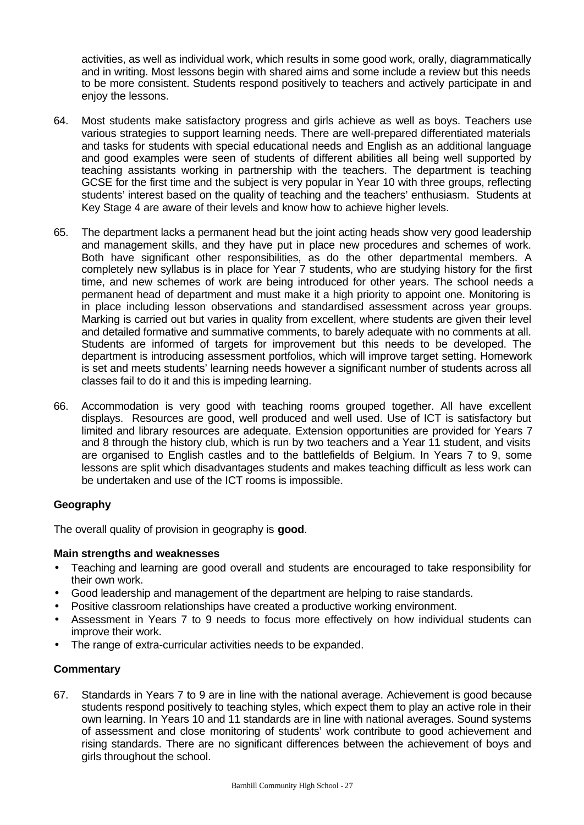activities, as well as individual work, which results in some good work, orally, diagrammatically and in writing. Most lessons begin with shared aims and some include a review but this needs to be more consistent. Students respond positively to teachers and actively participate in and enjoy the lessons.

- 64. Most students make satisfactory progress and girls achieve as well as boys. Teachers use various strategies to support learning needs. There are well-prepared differentiated materials and tasks for students with special educational needs and English as an additional language and good examples were seen of students of different abilities all being well supported by teaching assistants working in partnership with the teachers. The department is teaching GCSE for the first time and the subject is very popular in Year 10 with three groups, reflecting students' interest based on the quality of teaching and the teachers' enthusiasm. Students at Key Stage 4 are aware of their levels and know how to achieve higher levels.
- 65. The department lacks a permanent head but the joint acting heads show very good leadership and management skills, and they have put in place new procedures and schemes of work. Both have significant other responsibilities, as do the other departmental members. A completely new syllabus is in place for Year 7 students, who are studying history for the first time, and new schemes of work are being introduced for other years. The school needs a permanent head of department and must make it a high priority to appoint one. Monitoring is in place including lesson observations and standardised assessment across year groups. Marking is carried out but varies in quality from excellent, where students are given their level and detailed formative and summative comments, to barely adequate with no comments at all. Students are informed of targets for improvement but this needs to be developed. The department is introducing assessment portfolios, which will improve target setting. Homework is set and meets students' learning needs however a significant number of students across all classes fail to do it and this is impeding learning.
- 66. Accommodation is very good with teaching rooms grouped together. All have excellent displays. Resources are good, well produced and well used. Use of ICT is satisfactory but limited and library resources are adequate. Extension opportunities are provided for Years 7 and 8 through the history club, which is run by two teachers and a Year 11 student, and visits are organised to English castles and to the battlefields of Belgium. In Years 7 to 9, some lessons are split which disadvantages students and makes teaching difficult as less work can be undertaken and use of the ICT rooms is impossible.

# **Geography**

The overall quality of provision in geography is **good**.

# **Main strengths and weaknesses**

- Teaching and learning are good overall and students are encouraged to take responsibility for their own work.
- Good leadership and management of the department are helping to raise standards.
- Positive classroom relationships have created a productive working environment.
- Assessment in Years 7 to 9 needs to focus more effectively on how individual students can improve their work.
- The range of extra-curricular activities needs to be expanded.

# **Commentary**

67. Standards in Years 7 to 9 are in line with the national average. Achievement is good because students respond positively to teaching styles, which expect them to play an active role in their own learning. In Years 10 and 11 standards are in line with national averages. Sound systems of assessment and close monitoring of students' work contribute to good achievement and rising standards. There are no significant differences between the achievement of boys and girls throughout the school.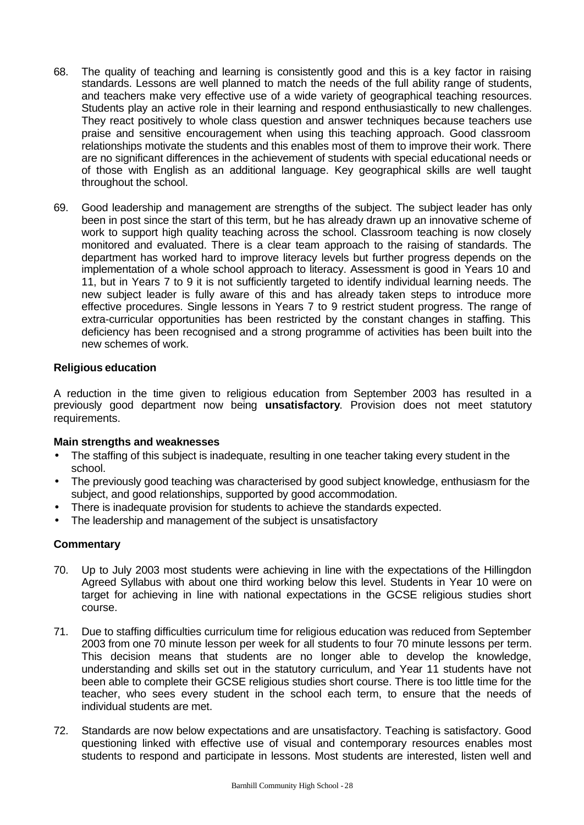- 68. The quality of teaching and learning is consistently good and this is a key factor in raising standards. Lessons are well planned to match the needs of the full ability range of students, and teachers make very effective use of a wide variety of geographical teaching resources. Students play an active role in their learning and respond enthusiastically to new challenges. They react positively to whole class question and answer techniques because teachers use praise and sensitive encouragement when using this teaching approach. Good classroom relationships motivate the students and this enables most of them to improve their work. There are no significant differences in the achievement of students with special educational needs or of those with English as an additional language. Key geographical skills are well taught throughout the school.
- 69. Good leadership and management are strengths of the subject. The subject leader has only been in post since the start of this term, but he has already drawn up an innovative scheme of work to support high quality teaching across the school. Classroom teaching is now closely monitored and evaluated. There is a clear team approach to the raising of standards. The department has worked hard to improve literacy levels but further progress depends on the implementation of a whole school approach to literacy. Assessment is good in Years 10 and 11, but in Years 7 to 9 it is not sufficiently targeted to identify individual learning needs. The new subject leader is fully aware of this and has already taken steps to introduce more effective procedures. Single lessons in Years 7 to 9 restrict student progress. The range of extra-curricular opportunities has been restricted by the constant changes in staffing. This deficiency has been recognised and a strong programme of activities has been built into the new schemes of work.

#### **Religious education**

A reduction in the time given to religious education from September 2003 has resulted in a previously good department now being **unsatisfactory**. Provision does not meet statutory requirements.

#### **Main strengths and weaknesses**

- The staffing of this subject is inadequate, resulting in one teacher taking every student in the school.
- The previously good teaching was characterised by good subject knowledge, enthusiasm for the subject, and good relationships, supported by good accommodation.
- There is inadequate provision for students to achieve the standards expected.
- The leadership and management of the subject is unsatisfactory

- 70. Up to July 2003 most students were achieving in line with the expectations of the Hillingdon Agreed Syllabus with about one third working below this level. Students in Year 10 were on target for achieving in line with national expectations in the GCSE religious studies short course.
- 71. Due to staffing difficulties curriculum time for religious education was reduced from September 2003 from one 70 minute lesson per week for all students to four 70 minute lessons per term. This decision means that students are no longer able to develop the knowledge, understanding and skills set out in the statutory curriculum, and Year 11 students have not been able to complete their GCSE religious studies short course. There is too little time for the teacher, who sees every student in the school each term, to ensure that the needs of individual students are met.
- 72. Standards are now below expectations and are unsatisfactory. Teaching is satisfactory. Good questioning linked with effective use of visual and contemporary resources enables most students to respond and participate in lessons. Most students are interested, listen well and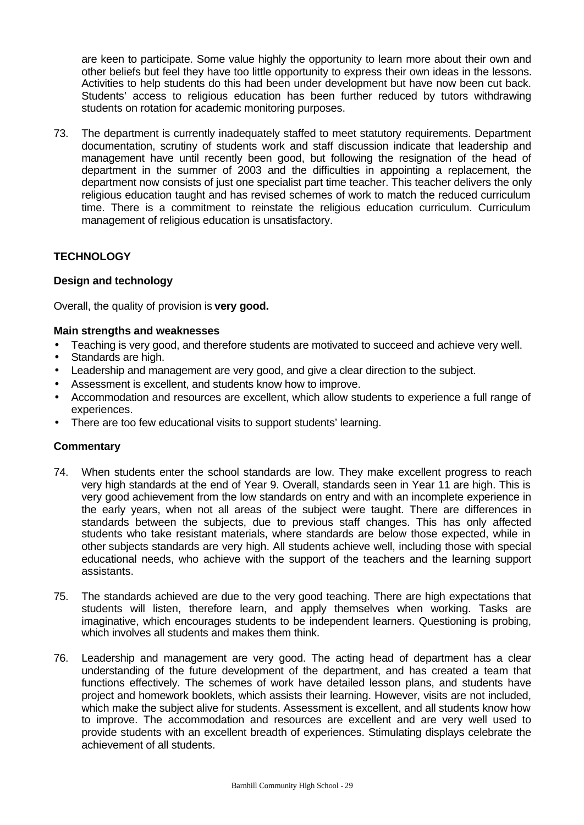are keen to participate. Some value highly the opportunity to learn more about their own and other beliefs but feel they have too little opportunity to express their own ideas in the lessons. Activities to help students do this had been under development but have now been cut back. Students' access to religious education has been further reduced by tutors withdrawing students on rotation for academic monitoring purposes.

73. The department is currently inadequately staffed to meet statutory requirements. Department documentation, scrutiny of students work and staff discussion indicate that leadership and management have until recently been good, but following the resignation of the head of department in the summer of 2003 and the difficulties in appointing a replacement, the department now consists of just one specialist part time teacher. This teacher delivers the only religious education taught and has revised schemes of work to match the reduced curriculum time. There is a commitment to reinstate the religious education curriculum. Curriculum management of religious education is unsatisfactory.

# **TECHNOLOGY**

# **Design and technology**

Overall, the quality of provision is **very good.**

#### **Main strengths and weaknesses**

- Teaching is very good, and therefore students are motivated to succeed and achieve very well.
- Standards are high.
- Leadership and management are very good, and give a clear direction to the subject.
- Assessment is excellent, and students know how to improve.
- Accommodation and resources are excellent, which allow students to experience a full range of experiences.
- There are too few educational visits to support students' learning.

- 74. When students enter the school standards are low. They make excellent progress to reach very high standards at the end of Year 9. Overall, standards seen in Year 11 are high. This is very good achievement from the low standards on entry and with an incomplete experience in the early years, when not all areas of the subject were taught. There are differences in standards between the subjects, due to previous staff changes. This has only affected students who take resistant materials, where standards are below those expected, while in other subjects standards are very high. All students achieve well, including those with special educational needs, who achieve with the support of the teachers and the learning support assistants.
- 75. The standards achieved are due to the very good teaching. There are high expectations that students will listen, therefore learn, and apply themselves when working. Tasks are imaginative, which encourages students to be independent learners. Questioning is probing, which involves all students and makes them think.
- 76. Leadership and management are very good. The acting head of department has a clear understanding of the future development of the department, and has created a team that functions effectively. The schemes of work have detailed lesson plans, and students have project and homework booklets, which assists their learning. However, visits are not included, which make the subject alive for students. Assessment is excellent, and all students know how to improve. The accommodation and resources are excellent and are very well used to provide students with an excellent breadth of experiences. Stimulating displays celebrate the achievement of all students.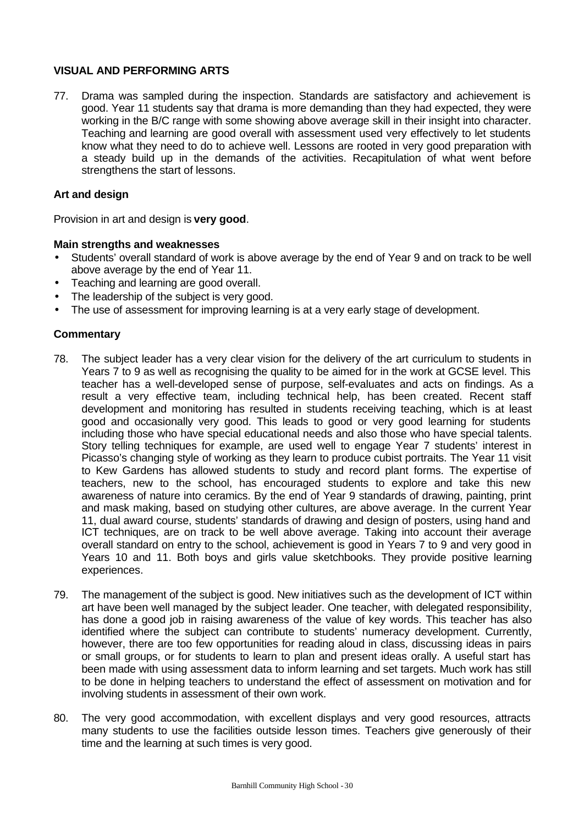# **VISUAL AND PERFORMING ARTS**

77. Drama was sampled during the inspection. Standards are satisfactory and achievement is good. Year 11 students say that drama is more demanding than they had expected, they were working in the B/C range with some showing above average skill in their insight into character. Teaching and learning are good overall with assessment used very effectively to let students know what they need to do to achieve well. Lessons are rooted in very good preparation with a steady build up in the demands of the activities. Recapitulation of what went before strengthens the start of lessons.

# **Art and design**

Provision in art and design is **very good**.

#### **Main strengths and weaknesses**

- Students' overall standard of work is above average by the end of Year 9 and on track to be well above average by the end of Year 11.
- Teaching and learning are good overall.
- The leadership of the subject is very good.
- The use of assessment for improving learning is at a very early stage of development.

- 78. The subject leader has a very clear vision for the delivery of the art curriculum to students in Years 7 to 9 as well as recognising the quality to be aimed for in the work at GCSE level. This teacher has a well-developed sense of purpose, self-evaluates and acts on findings. As a result a very effective team, including technical help, has been created. Recent staff development and monitoring has resulted in students receiving teaching, which is at least good and occasionally very good. This leads to good or very good learning for students including those who have special educational needs and also those who have special talents. Story telling techniques for example, are used well to engage Year 7 students' interest in Picasso's changing style of working as they learn to produce cubist portraits. The Year 11 visit to Kew Gardens has allowed students to study and record plant forms. The expertise of teachers, new to the school, has encouraged students to explore and take this new awareness of nature into ceramics. By the end of Year 9 standards of drawing, painting, print and mask making, based on studying other cultures, are above average. In the current Year 11, dual award course, students' standards of drawing and design of posters, using hand and ICT techniques, are on track to be well above average. Taking into account their average overall standard on entry to the school, achievement is good in Years 7 to 9 and very good in Years 10 and 11. Both boys and girls value sketchbooks. They provide positive learning experiences.
- 79. The management of the subject is good. New initiatives such as the development of ICT within art have been well managed by the subject leader. One teacher, with delegated responsibility, has done a good job in raising awareness of the value of key words. This teacher has also identified where the subject can contribute to students' numeracy development. Currently, however, there are too few opportunities for reading aloud in class, discussing ideas in pairs or small groups, or for students to learn to plan and present ideas orally. A useful start has been made with using assessment data to inform learning and set targets. Much work has still to be done in helping teachers to understand the effect of assessment on motivation and for involving students in assessment of their own work.
- 80. The very good accommodation, with excellent displays and very good resources, attracts many students to use the facilities outside lesson times. Teachers give generously of their time and the learning at such times is very good.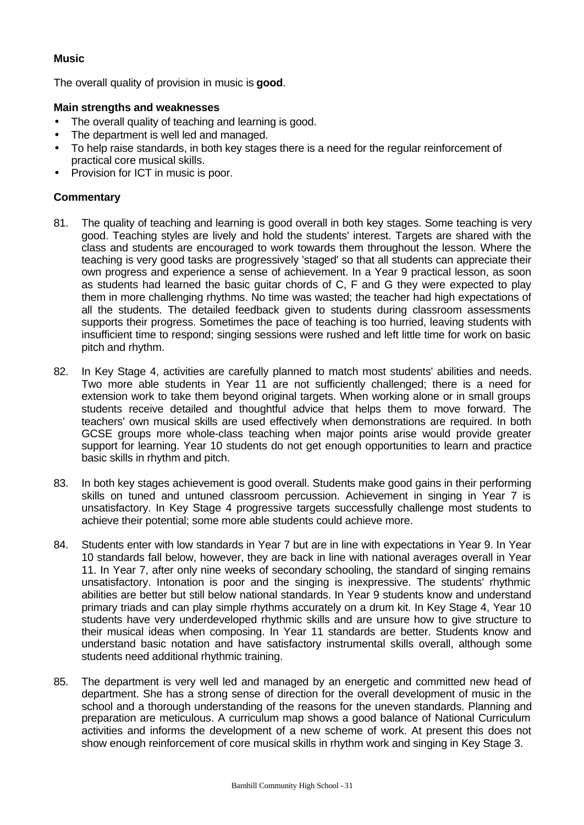# **Music**

The overall quality of provision in music is **good**.

# **Main strengths and weaknesses**

- The overall quality of teaching and learning is good.
- The department is well led and managed.
- To help raise standards, in both key stages there is a need for the regular reinforcement of practical core musical skills.
- Provision for ICT in music is poor.

- 81. The quality of teaching and learning is good overall in both key stages. Some teaching is very good. Teaching styles are lively and hold the students' interest. Targets are shared with the class and students are encouraged to work towards them throughout the lesson. Where the teaching is very good tasks are progressively 'staged' so that all students can appreciate their own progress and experience a sense of achievement. In a Year 9 practical lesson, as soon as students had learned the basic guitar chords of C, F and G they were expected to play them in more challenging rhythms. No time was wasted; the teacher had high expectations of all the students. The detailed feedback given to students during classroom assessments supports their progress. Sometimes the pace of teaching is too hurried, leaving students with insufficient time to respond; singing sessions were rushed and left little time for work on basic pitch and rhythm.
- 82. In Key Stage 4, activities are carefully planned to match most students' abilities and needs. Two more able students in Year 11 are not sufficiently challenged; there is a need for extension work to take them beyond original targets. When working alone or in small groups students receive detailed and thoughtful advice that helps them to move forward. The teachers' own musical skills are used effectively when demonstrations are required. In both GCSE groups more whole-class teaching when major points arise would provide greater support for learning. Year 10 students do not get enough opportunities to learn and practice basic skills in rhythm and pitch.
- 83. In both key stages achievement is good overall. Students make good gains in their performing skills on tuned and untuned classroom percussion. Achievement in singing in Year 7 is unsatisfactory. In Key Stage 4 progressive targets successfully challenge most students to achieve their potential; some more able students could achieve more.
- 84. Students enter with low standards in Year 7 but are in line with expectations in Year 9. In Year 10 standards fall below, however, they are back in line with national averages overall in Year 11. In Year 7, after only nine weeks of secondary schooling, the standard of singing remains unsatisfactory. Intonation is poor and the singing is inexpressive. The students' rhythmic abilities are better but still below national standards. In Year 9 students know and understand primary triads and can play simple rhythms accurately on a drum kit. In Key Stage 4, Year 10 students have very underdeveloped rhythmic skills and are unsure how to give structure to their musical ideas when composing. In Year 11 standards are better. Students know and understand basic notation and have satisfactory instrumental skills overall, although some students need additional rhythmic training.
- 85. The department is very well led and managed by an energetic and committed new head of department. She has a strong sense of direction for the overall development of music in the school and a thorough understanding of the reasons for the uneven standards. Planning and preparation are meticulous. A curriculum map shows a good balance of National Curriculum activities and informs the development of a new scheme of work. At present this does not show enough reinforcement of core musical skills in rhythm work and singing in Key Stage 3.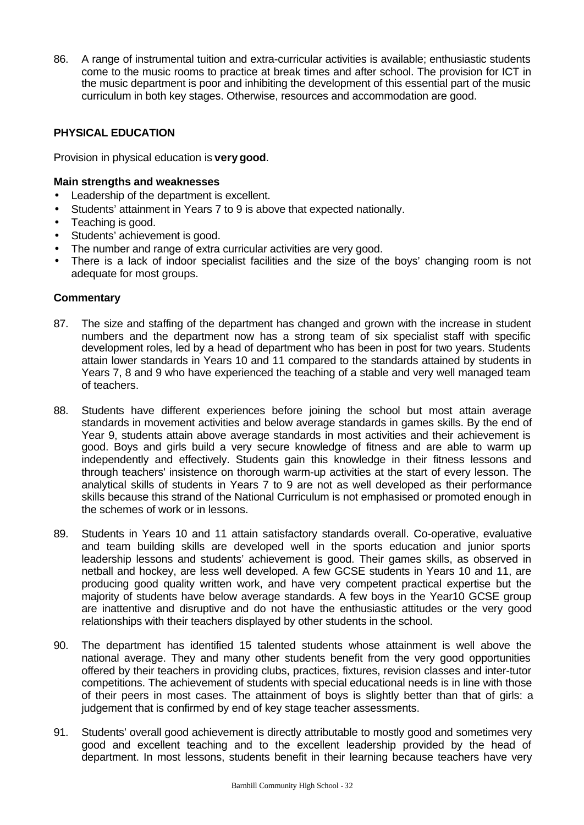86. A range of instrumental tuition and extra-curricular activities is available; enthusiastic students come to the music rooms to practice at break times and after school. The provision for ICT in the music department is poor and inhibiting the development of this essential part of the music curriculum in both key stages. Otherwise, resources and accommodation are good.

# **PHYSICAL EDUCATION**

Provision in physical education is **verygood**.

#### **Main strengths and weaknesses**

- Leadership of the department is excellent.
- Students' attainment in Years 7 to 9 is above that expected nationally.
- Teaching is good.
- Students' achievement is good.
- The number and range of extra curricular activities are very good.
- There is a lack of indoor specialist facilities and the size of the boys' changing room is not adequate for most groups.

- 87. The size and staffing of the department has changed and grown with the increase in student numbers and the department now has a strong team of six specialist staff with specific development roles, led by a head of department who has been in post for two years. Students attain lower standards in Years 10 and 11 compared to the standards attained by students in Years 7, 8 and 9 who have experienced the teaching of a stable and very well managed team of teachers.
- 88. Students have different experiences before joining the school but most attain average standards in movement activities and below average standards in games skills. By the end of Year 9, students attain above average standards in most activities and their achievement is good. Boys and girls build a very secure knowledge of fitness and are able to warm up independently and effectively. Students gain this knowledge in their fitness lessons and through teachers' insistence on thorough warm-up activities at the start of every lesson. The analytical skills of students in Years 7 to 9 are not as well developed as their performance skills because this strand of the National Curriculum is not emphasised or promoted enough in the schemes of work or in lessons.
- 89. Students in Years 10 and 11 attain satisfactory standards overall. Co-operative, evaluative and team building skills are developed well in the sports education and junior sports leadership lessons and students' achievement is good. Their games skills, as observed in netball and hockey, are less well developed. A few GCSE students in Years 10 and 11, are producing good quality written work, and have very competent practical expertise but the majority of students have below average standards. A few boys in the Year10 GCSE group are inattentive and disruptive and do not have the enthusiastic attitudes or the very good relationships with their teachers displayed by other students in the school.
- 90. The department has identified 15 talented students whose attainment is well above the national average. They and many other students benefit from the very good opportunities offered by their teachers in providing clubs, practices, fixtures, revision classes and inter-tutor competitions. The achievement of students with special educational needs is in line with those of their peers in most cases. The attainment of boys is slightly better than that of girls: a judgement that is confirmed by end of key stage teacher assessments.
- 91. Students' overall good achievement is directly attributable to mostly good and sometimes very good and excellent teaching and to the excellent leadership provided by the head of department. In most lessons, students benefit in their learning because teachers have very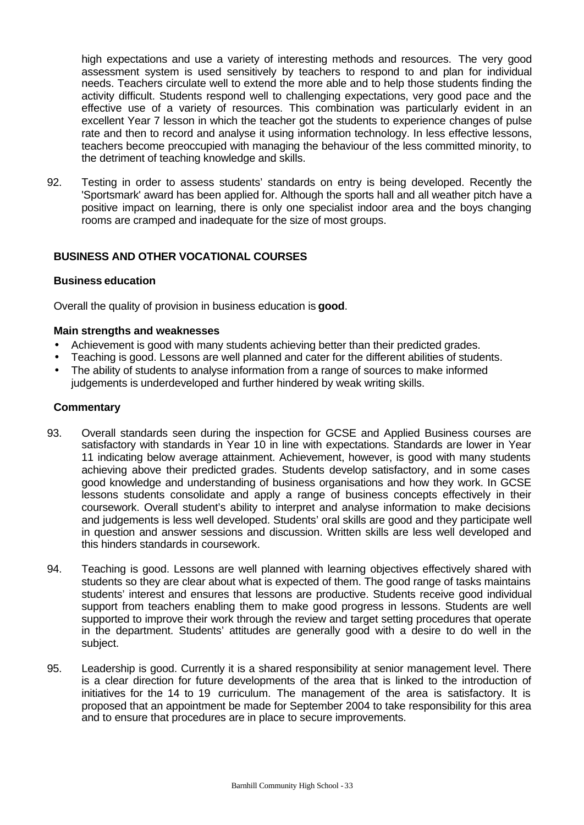high expectations and use a variety of interesting methods and resources. The very good assessment system is used sensitively by teachers to respond to and plan for individual needs. Teachers circulate well to extend the more able and to help those students finding the activity difficult. Students respond well to challenging expectations, very good pace and the effective use of a variety of resources. This combination was particularly evident in an excellent Year 7 lesson in which the teacher got the students to experience changes of pulse rate and then to record and analyse it using information technology. In less effective lessons, teachers become preoccupied with managing the behaviour of the less committed minority, to the detriment of teaching knowledge and skills.

92. Testing in order to assess students' standards on entry is being developed. Recently the 'Sportsmark' award has been applied for. Although the sports hall and all weather pitch have a positive impact on learning, there is only one specialist indoor area and the boys changing rooms are cramped and inadequate for the size of most groups.

# **BUSINESS AND OTHER VOCATIONAL COURSES**

#### **Business education**

Overall the quality of provision in business education is **good**.

#### **Main strengths and weaknesses**

- Achievement is good with many students achieving better than their predicted grades.
- Teaching is good. Lessons are well planned and cater for the different abilities of students.
- The ability of students to analyse information from a range of sources to make informed judgements is underdeveloped and further hindered by weak writing skills.

- 93. Overall standards seen during the inspection for GCSE and Applied Business courses are satisfactory with standards in Year 10 in line with expectations. Standards are lower in Year 11 indicating below average attainment. Achievement, however, is good with many students achieving above their predicted grades. Students develop satisfactory, and in some cases good knowledge and understanding of business organisations and how they work. In GCSE lessons students consolidate and apply a range of business concepts effectively in their coursework. Overall student's ability to interpret and analyse information to make decisions and judgements is less well developed. Students' oral skills are good and they participate well in question and answer sessions and discussion. Written skills are less well developed and this hinders standards in coursework.
- 94. Teaching is good. Lessons are well planned with learning objectives effectively shared with students so they are clear about what is expected of them. The good range of tasks maintains students' interest and ensures that lessons are productive. Students receive good individual support from teachers enabling them to make good progress in lessons. Students are well supported to improve their work through the review and target setting procedures that operate in the department. Students' attitudes are generally good with a desire to do well in the subject.
- 95. Leadership is good. Currently it is a shared responsibility at senior management level. There is a clear direction for future developments of the area that is linked to the introduction of initiatives for the 14 to 19 curriculum. The management of the area is satisfactory. It is proposed that an appointment be made for September 2004 to take responsibility for this area and to ensure that procedures are in place to secure improvements.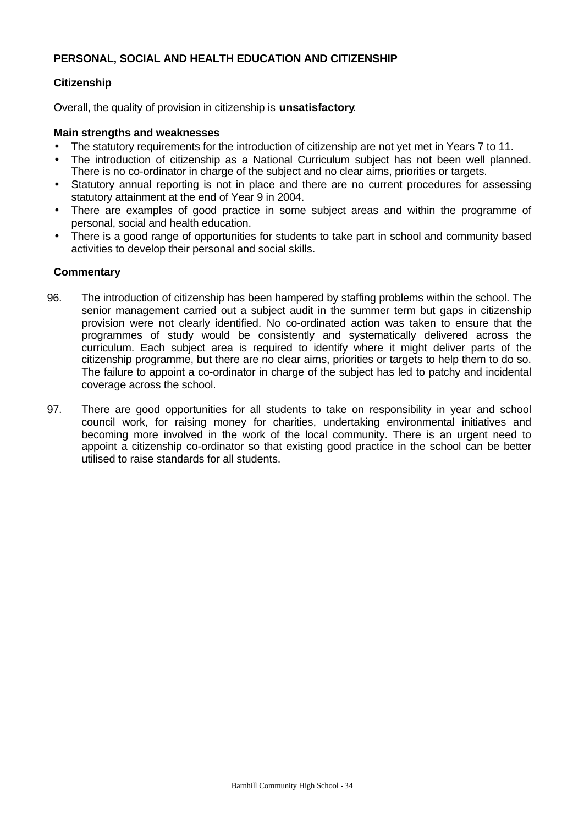# **PERSONAL, SOCIAL AND HEALTH EDUCATION AND CITIZENSHIP**

# **Citizenship**

Overall, the quality of provision in citizenship is **unsatisfactory**.

#### **Main strengths and weaknesses**

- The statutory requirements for the introduction of citizenship are not yet met in Years 7 to 11.
- The introduction of citizenship as a National Curriculum subject has not been well planned. There is no co-ordinator in charge of the subject and no clear aims, priorities or targets.
- Statutory annual reporting is not in place and there are no current procedures for assessing statutory attainment at the end of Year 9 in 2004.
- There are examples of good practice in some subject areas and within the programme of personal, social and health education.
- There is a good range of opportunities for students to take part in school and community based activities to develop their personal and social skills.

- 96. The introduction of citizenship has been hampered by staffing problems within the school. The senior management carried out a subject audit in the summer term but gaps in citizenship provision were not clearly identified. No co-ordinated action was taken to ensure that the programmes of study would be consistently and systematically delivered across the curriculum. Each subject area is required to identify where it might deliver parts of the citizenship programme, but there are no clear aims, priorities or targets to help them to do so. The failure to appoint a co-ordinator in charge of the subject has led to patchy and incidental coverage across the school.
- 97. There are good opportunities for all students to take on responsibility in year and school council work, for raising money for charities, undertaking environmental initiatives and becoming more involved in the work of the local community. There is an urgent need to appoint a citizenship co-ordinator so that existing good practice in the school can be better utilised to raise standards for all students.